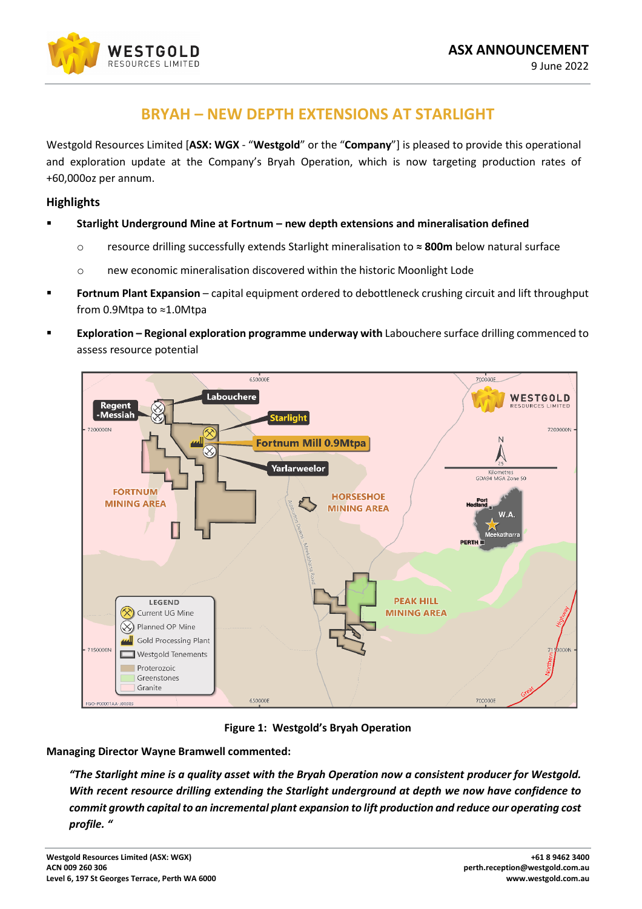

# **BRYAH – NEW DEPTH EXTENSIONS AT STARLIGHT**

Westgold Resources Limited [**ASX: WGX** - "**Westgold**" or the "**Company**"] is pleased to provide this operational and exploration update at the Company's Bryah Operation, which is now targeting production rates of +60,000oz per annum.

### **Highlights**

- **Starlight Underground Mine at Fortnum – new depth extensions and mineralisation defined**
	- o resource drilling successfully extends Starlight mineralisation to **≈ 800m** below natural surface
	- o new economic mineralisation discovered within the historic Moonlight Lode
- **Fortnum Plant Expansion**  capital equipment ordered to debottleneck crushing circuit and lift throughput from 0.9Mtpa to ≈1.0Mtpa
- **Exploration – Regional exploration programme underway with** Labouchere surface drilling commenced to assess resource potential



#### **Figure 1: Westgold's Bryah Operation**

**Managing Director Wayne Bramwell commented:**

*"The Starlight mine is a quality asset with the Bryah Operation now a consistent producer for Westgold. With recent resource drilling extending the Starlight underground at depth we now have confidence to commit growth capital to an incremental plant expansion to lift production and reduce our operating cost profile. "*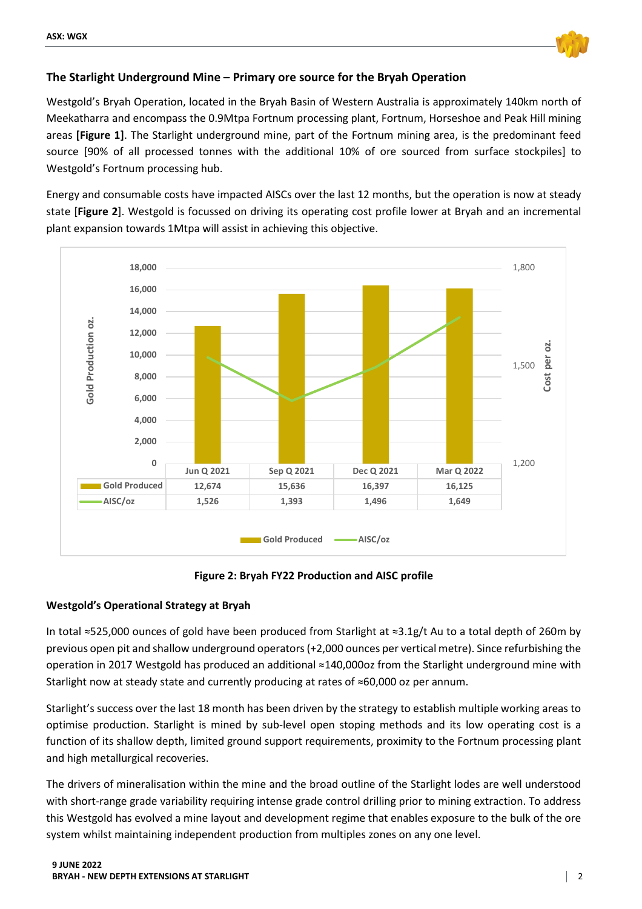

#### **The Starlight Underground Mine – Primary ore source for the Bryah Operation**

Westgold's Bryah Operation, located in the Bryah Basin of Western Australia is approximately 140km north of Meekatharra and encompass the 0.9Mtpa Fortnum processing plant, Fortnum, Horseshoe and Peak Hill mining areas **[Figure 1]**. The Starlight underground mine, part of the Fortnum mining area, is the predominant feed source [90% of all processed tonnes with the additional 10% of ore sourced from surface stockpiles] to Westgold's Fortnum processing hub.

Energy and consumable costs have impacted AISCs over the last 12 months, but the operation is now at steady state [**Figure 2**]. Westgold is focussed on driving its operating cost profile lower at Bryah and an incremental plant expansion towards 1Mtpa will assist in achieving this objective.



**Figure 2: Bryah FY22 Production and AISC profile**

#### **Westgold's Operational Strategy at Bryah**

In total ≈525,000 ounces of gold have been produced from Starlight at ≈3.1g/t Au to a total depth of 260m by previous open pit and shallow underground operators(+2,000 ounces per vertical metre). Since refurbishing the operation in 2017 Westgold has produced an additional ≈140,000oz from the Starlight underground mine with Starlight now at steady state and currently producing at rates of  $\approx$  60,000 oz per annum.

Starlight's success over the last 18 month has been driven by the strategy to establish multiple working areas to optimise production. Starlight is mined by sub-level open stoping methods and its low operating cost is a function of its shallow depth, limited ground support requirements, proximity to the Fortnum processing plant and high metallurgical recoveries.

The drivers of mineralisation within the mine and the broad outline of the Starlight lodes are well understood with short-range grade variability requiring intense grade control drilling prior to mining extraction. To address this Westgold has evolved a mine layout and development regime that enables exposure to the bulk of the ore system whilst maintaining independent production from multiples zones on any one level.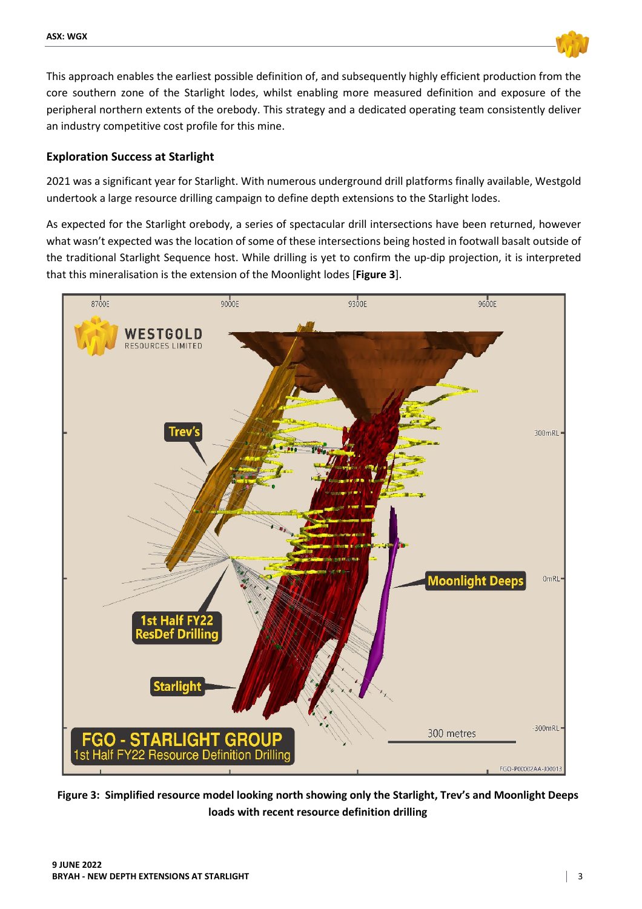

This approach enables the earliest possible definition of, and subsequently highly efficient production from the core southern zone of the Starlight lodes, whilst enabling more measured definition and exposure of the peripheral northern extents of the orebody. This strategy and a dedicated operating team consistently deliver an industry competitive cost profile for this mine.

### **Exploration Success at Starlight**

2021 was a significant year for Starlight. With numerous underground drill platforms finally available, Westgold undertook a large resource drilling campaign to define depth extensions to the Starlight lodes.

As expected for the Starlight orebody, a series of spectacular drill intersections have been returned, however what wasn't expected was the location of some of these intersections being hosted in footwall basalt outside of the traditional Starlight Sequence host. While drilling is yet to confirm the up-dip projection, it is interpreted that this mineralisation is the extension of the Moonlight lodes [**Figure 3**].



**Figure 3: Simplified resource model looking north showing only the Starlight, Trev's and Moonlight Deeps loads with recent resource definition drilling**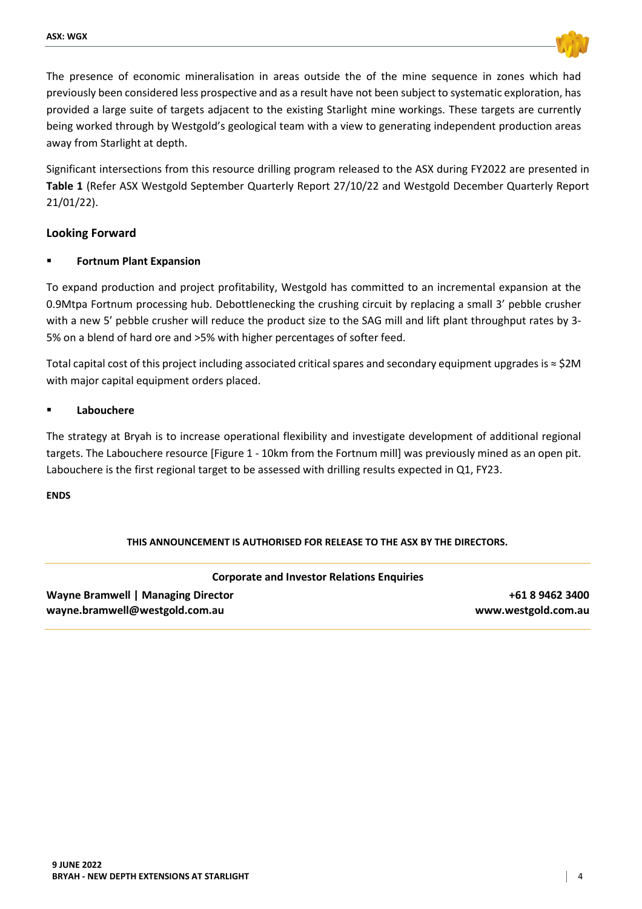

The presence of economic mineralisation in areas outside the of the mine sequence in zones which had previously been considered less prospective and as a result have not been subject to systematic exploration, has provided a large suite of targets adjacent to the existing Starlight mine workings. These targets are currently being worked through by Westgold's geological team with a view to generating independent production areas away from Starlight at depth.

Significant intersections from this resource drilling program released to the ASX during FY2022 are presented in **Table 1** (Refer ASX Westgold September Quarterly Report 27/10/22 and Westgold December Quarterly Report 21/01/22).

#### **Looking Forward**

#### **Fortnum Plant Expansion**

To expand production and project profitability, Westgold has committed to an incremental expansion at the 0.9Mtpa Fortnum processing hub. Debottlenecking the crushing circuit by replacing a small 3' pebble crusher with a new 5' pebble crusher will reduce the product size to the SAG mill and lift plant throughput rates by 3- 5% on a blend of hard ore and >5% with higher percentages of softer feed.

Total capital cost of this project including associated critical spares and secondary equipment upgrades is ≈ \$2M with major capital equipment orders placed.

#### **Labouchere**

The strategy at Bryah is to increase operational flexibility and investigate development of additional regional targets. The Labouchere resource [Figure 1 - 10km from the Fortnum mill] was previously mined as an open pit. Labouchere is the first regional target to be assessed with drilling results expected in Q1, FY23.

#### **ENDS**

### **THIS ANNOUNCEMENT IS AUTHORISED FOR RELEASE TO THE ASX BY THE DIRECTORS.**

| <b>Corporate and Investor Relations Enquiries</b> |                     |
|---------------------------------------------------|---------------------|
| Wayne Bramwell   Managing Director                | +61 8 9462 3400     |
| wayne.bramwell@westgold.com.au                    | www.westgold.com.au |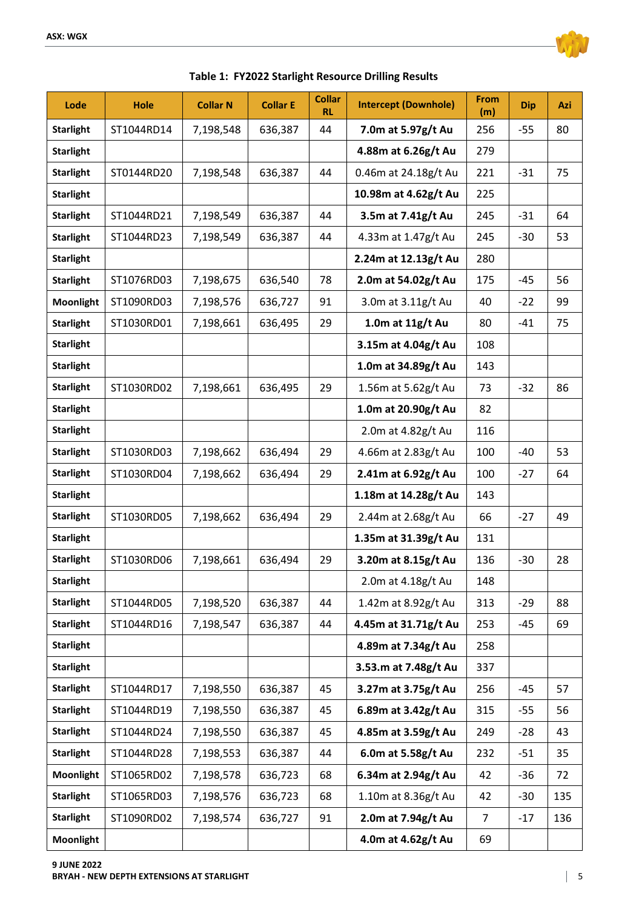

|  |  |  | Table 1: FY2022 Starlight Resource Drilling Results |  |  |
|--|--|--|-----------------------------------------------------|--|--|
|--|--|--|-----------------------------------------------------|--|--|

| Lode             | <b>Hole</b> | <b>Collar N</b> | <b>Collar E</b> | <b>Collar</b><br><b>RL</b> | <b>Intercept (Downhole)</b> | <b>From</b><br>(m) | <b>Dip</b> | Azi |
|------------------|-------------|-----------------|-----------------|----------------------------|-----------------------------|--------------------|------------|-----|
| <b>Starlight</b> | ST1044RD14  | 7,198,548       | 636,387         | 44                         | 7.0m at 5.97g/t Au          | 256                | $-55$      | 80  |
| <b>Starlight</b> |             |                 |                 |                            | 4.88m at 6.26g/t Au         | 279                |            |     |
| <b>Starlight</b> | ST0144RD20  | 7,198,548       | 636,387         | 44                         | 0.46m at 24.18g/t Au        | 221                | $-31$      | 75  |
| <b>Starlight</b> |             |                 |                 |                            | 10.98m at 4.62g/t Au        | 225                |            |     |
| <b>Starlight</b> | ST1044RD21  | 7,198,549       | 636,387         | 44                         | 3.5m at 7.41g/t Au          | 245                | $-31$      | 64  |
| <b>Starlight</b> | ST1044RD23  | 7,198,549       | 636,387         | 44                         | 4.33m at 1.47g/t Au         | 245                | $-30$      | 53  |
| <b>Starlight</b> |             |                 |                 |                            | 2.24m at 12.13g/t Au        | 280                |            |     |
| <b>Starlight</b> | ST1076RD03  | 7,198,675       | 636,540         | 78                         | 2.0m at 54.02g/t Au         | 175                | $-45$      | 56  |
| Moonlight        | ST1090RD03  | 7,198,576       | 636,727         | 91                         | 3.0m at 3.11g/t Au          | 40                 | $-22$      | 99  |
| <b>Starlight</b> | ST1030RD01  | 7,198,661       | 636,495         | 29                         | 1.0 $m$ at 11g/t Au         | 80                 | $-41$      | 75  |
| <b>Starlight</b> |             |                 |                 |                            | 3.15m at 4.04g/t Au         | 108                |            |     |
| <b>Starlight</b> |             |                 |                 |                            | 1.0m at 34.89g/t Au         | 143                |            |     |
| <b>Starlight</b> | ST1030RD02  | 7,198,661       | 636,495         | 29                         | 1.56m at 5.62g/t Au         | 73                 | $-32$      | 86  |
| <b>Starlight</b> |             |                 |                 |                            | 1.0m at 20.90g/t Au         | 82                 |            |     |
| <b>Starlight</b> |             |                 |                 |                            | 2.0m at 4.82g/t Au          | 116                |            |     |
| <b>Starlight</b> | ST1030RD03  | 7,198,662       | 636,494         | 29                         | 4.66m at 2.83g/t Au         | 100                | -40        | 53  |
| <b>Starlight</b> | ST1030RD04  | 7,198,662       | 636,494         | 29                         | 2.41m at 6.92g/t Au         | 100                | $-27$      | 64  |
| <b>Starlight</b> |             |                 |                 |                            | 1.18m at 14.28g/t Au        | 143                |            |     |
| <b>Starlight</b> | ST1030RD05  | 7,198,662       | 636,494         | 29                         | 2.44m at 2.68g/t Au         | 66                 | $-27$      | 49  |
| <b>Starlight</b> |             |                 |                 |                            | 1.35m at 31.39g/t Au        | 131                |            |     |
| <b>Starlight</b> | ST1030RD06  | 7,198,661       | 636,494         | 29                         | 3.20m at 8.15g/t Au         | 136                | $-30$      | 28  |
| <b>Starlight</b> |             |                 |                 |                            | 2.0m at 4.18g/t Au          | 148                |            |     |
| <b>Starlight</b> | ST1044RD05  | 7,198,520       | 636,387         | 44                         | 1.42m at 8.92g/t Au         | 313                | $-29$      | 88  |
| <b>Starlight</b> | ST1044RD16  | 7,198,547       | 636,387         | 44                         | 4.45m at 31.71g/t Au        | 253                | $-45$      | 69  |
| <b>Starlight</b> |             |                 |                 |                            | 4.89m at 7.34g/t Au         | 258                |            |     |
| <b>Starlight</b> |             |                 |                 |                            | 3.53.m at 7.48g/t Au        | 337                |            |     |
| <b>Starlight</b> | ST1044RD17  | 7,198,550       | 636,387         | 45                         | 3.27m at 3.75g/t Au         | 256                | $-45$      | 57  |
| <b>Starlight</b> | ST1044RD19  | 7,198,550       | 636,387         | 45                         | 6.89m at 3.42g/t Au         | 315                | $-55$      | 56  |
| <b>Starlight</b> | ST1044RD24  | 7,198,550       | 636,387         | 45                         | 4.85m at 3.59g/t Au         | 249                | $-28$      | 43  |
| <b>Starlight</b> | ST1044RD28  | 7,198,553       | 636,387         | 44                         | 6.0m at 5.58g/t Au          | 232                | $-51$      | 35  |
| Moonlight        | ST1065RD02  | 7,198,578       | 636,723         | 68                         | 6.34m at 2.94g/t Au         | 42                 | $-36$      | 72  |
| <b>Starlight</b> | ST1065RD03  | 7,198,576       | 636,723         | 68                         | 1.10m at 8.36g/t Au         | 42                 | $-30$      | 135 |
| <b>Starlight</b> | ST1090RD02  | 7,198,574       | 636,727         | 91                         | 2.0m at 7.94g/t Au          | $\overline{7}$     | $-17$      | 136 |
| Moonlight        |             |                 |                 |                            | 4.0m at 4.62g/t Au          | 69                 |            |     |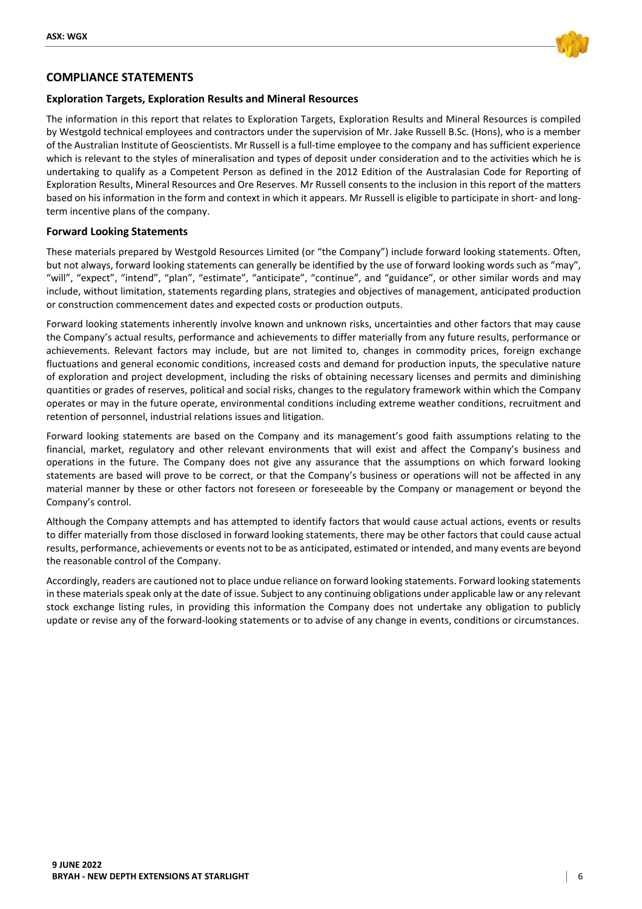

#### **COMPLIANCE STATEMENTS**

#### **Exploration Targets, Exploration Results and Mineral Resources**

The information in this report that relates to Exploration Targets, Exploration Results and Mineral Resources is compiled by Westgold technical employees and contractors under the supervision of Mr. Jake Russell B.Sc. (Hons), who is a member of the Australian Institute of Geoscientists. Mr Russell is a full-time employee to the company and has sufficient experience which is relevant to the styles of mineralisation and types of deposit under consideration and to the activities which he is undertaking to qualify as a Competent Person as defined in the 2012 Edition of the Australasian Code for Reporting of Exploration Results, Mineral Resources and Ore Reserves. Mr Russell consents to the inclusion in this report of the matters based on his information in the form and context in which it appears. Mr Russell is eligible to participate in short- and longterm incentive plans of the company.

#### **Forward Looking Statements**

These materials prepared by Westgold Resources Limited (or "the Company") include forward looking statements. Often, but not always, forward looking statements can generally be identified by the use of forward looking words such as "may", "will", "expect", "intend", "plan", "estimate", "anticipate", "continue", and "guidance", or other similar words and may include, without limitation, statements regarding plans, strategies and objectives of management, anticipated production or construction commencement dates and expected costs or production outputs.

Forward looking statements inherently involve known and unknown risks, uncertainties and other factors that may cause the Company's actual results, performance and achievements to differ materially from any future results, performance or achievements. Relevant factors may include, but are not limited to, changes in commodity prices, foreign exchange fluctuations and general economic conditions, increased costs and demand for production inputs, the speculative nature of exploration and project development, including the risks of obtaining necessary licenses and permits and diminishing quantities or grades of reserves, political and social risks, changes to the regulatory framework within which the Company operates or may in the future operate, environmental conditions including extreme weather conditions, recruitment and retention of personnel, industrial relations issues and litigation.

Forward looking statements are based on the Company and its management's good faith assumptions relating to the financial, market, regulatory and other relevant environments that will exist and affect the Company's business and operations in the future. The Company does not give any assurance that the assumptions on which forward looking statements are based will prove to be correct, or that the Company's business or operations will not be affected in any material manner by these or other factors not foreseen or foreseeable by the Company or management or beyond the Company's control.

Although the Company attempts and has attempted to identify factors that would cause actual actions, events or results to differ materially from those disclosed in forward looking statements, there may be other factors that could cause actual results, performance, achievements or events not to be as anticipated, estimated or intended, and many events are beyond the reasonable control of the Company.

Accordingly, readers are cautioned not to place undue reliance on forward looking statements. Forward looking statements in these materials speak only at the date of issue. Subject to any continuing obligations under applicable law or any relevant stock exchange listing rules, in providing this information the Company does not undertake any obligation to publicly update or revise any of the forward-looking statements or to advise of any change in events, conditions or circumstances.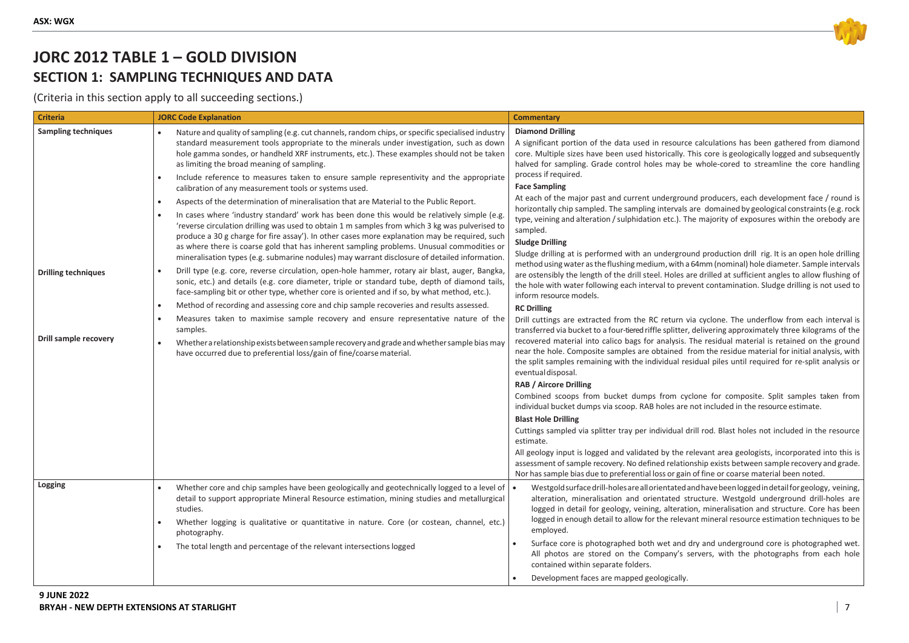

# **JORC 2012 TABLE 1 – GOLD DIVISION SECTION 1: SAMPLING TECHNIQUES AND DATA**

(Criteria in this section apply to all succeeding sections.)

| <b>Criteria</b>            | <b>JORC Code Explanation</b>                                                                                                                                                                                                                                                                                                                                                                                                                                                                                                                                                                                                                                                                                                                                                            | <b>Commentary</b>                                                                                                                                                                                                                                                                                                                                                                                                                                                                                                                                                                                                                                                                              |
|----------------------------|-----------------------------------------------------------------------------------------------------------------------------------------------------------------------------------------------------------------------------------------------------------------------------------------------------------------------------------------------------------------------------------------------------------------------------------------------------------------------------------------------------------------------------------------------------------------------------------------------------------------------------------------------------------------------------------------------------------------------------------------------------------------------------------------|------------------------------------------------------------------------------------------------------------------------------------------------------------------------------------------------------------------------------------------------------------------------------------------------------------------------------------------------------------------------------------------------------------------------------------------------------------------------------------------------------------------------------------------------------------------------------------------------------------------------------------------------------------------------------------------------|
| <b>Sampling techniques</b> | Nature and quality of sampling (e.g. cut channels, random chips, or specific specialised industry<br>standard measurement tools appropriate to the minerals under investigation, such as down<br>hole gamma sondes, or handheld XRF instruments, etc.). These examples should not be taken<br>as limiting the broad meaning of sampling.<br>Include reference to measures taken to ensure sample representivity and the appropriate<br>calibration of any measurement tools or systems used.<br>Aspects of the determination of mineralisation that are Material to the Public Report.<br>In cases where 'industry standard' work has been done this would be relatively simple (e.g.<br>'reverse circulation drilling was used to obtain 1 m samples from which 3 kg was pulverised to | <b>Diamond Drilling</b><br>A significant portion of the data used in resource calculations has been gathered from diamond<br>core. Multiple sizes have been used historically. This core is geologically logged and subsequently<br>halved for sampling. Grade control holes may be whole-cored to streamline the core handling<br>process if required.<br><b>Face Sampling</b><br>At each of the major past and current underground producers, each development face / round is<br>horizontally chip sampled. The sampling intervals are domained by geological constraints (e.g. rock<br>type, veining and alteration / sulphidation etc.). The majority of exposures within the orebody are |
| <b>Drilling techniques</b> | produce a 30 g charge for fire assay'). In other cases more explanation may be required, such<br>as where there is coarse gold that has inherent sampling problems. Unusual commodities or<br>mineralisation types (e.g. submarine nodules) may warrant disclosure of detailed information.<br>Drill type (e.g. core, reverse circulation, open-hole hammer, rotary air blast, auger, Bangka,<br>sonic, etc.) and details (e.g. core diameter, triple or standard tube, depth of diamond tails,<br>face-sampling bit or other type, whether core is oriented and if so, by what method, etc.).                                                                                                                                                                                          | sampled.<br><b>Sludge Drilling</b><br>Sludge drilling at is performed with an underground production drill rig. It is an open hole drilling<br>method using water as the flushing medium, with a 64mm (nominal) hole diameter. Sample intervals<br>are ostensibly the length of the drill steel. Holes are drilled at sufficient angles to allow flushing of<br>the hole with water following each interval to prevent contamination. Sludge drilling is not used to<br>inform resource models.                                                                                                                                                                                                |
|                            | Method of recording and assessing core and chip sample recoveries and results assessed.<br>Measures taken to maximise sample recovery and ensure representative nature of the<br>samples.                                                                                                                                                                                                                                                                                                                                                                                                                                                                                                                                                                                               | <b>RC Drilling</b><br>Drill cuttings are extracted from the RC return via cyclone. The underflow from each interval is<br>transferred via bucket to a four-tiered riffle splitter, delivering approximately three kilograms of the                                                                                                                                                                                                                                                                                                                                                                                                                                                             |
| Drill sample recovery      | Whether a relationship exists between sample recovery and grade and whether sample bias may<br>have occurred due to preferential loss/gain of fine/coarse material.                                                                                                                                                                                                                                                                                                                                                                                                                                                                                                                                                                                                                     | recovered material into calico bags for analysis. The residual material is retained on the ground<br>near the hole. Composite samples are obtained from the residue material for initial analysis, with<br>the split samples remaining with the individual residual piles until required for re-split analysis or<br>eventual disposal.                                                                                                                                                                                                                                                                                                                                                        |
|                            |                                                                                                                                                                                                                                                                                                                                                                                                                                                                                                                                                                                                                                                                                                                                                                                         | <b>RAB / Aircore Drilling</b><br>Combined scoops from bucket dumps from cyclone for composite. Split samples taken from<br>individual bucket dumps via scoop. RAB holes are not included in the resource estimate.<br><b>Blast Hole Drilling</b>                                                                                                                                                                                                                                                                                                                                                                                                                                               |
|                            |                                                                                                                                                                                                                                                                                                                                                                                                                                                                                                                                                                                                                                                                                                                                                                                         | Cuttings sampled via splitter tray per individual drill rod. Blast holes not included in the resource<br>estimate.                                                                                                                                                                                                                                                                                                                                                                                                                                                                                                                                                                             |
|                            |                                                                                                                                                                                                                                                                                                                                                                                                                                                                                                                                                                                                                                                                                                                                                                                         | All geology input is logged and validated by the relevant area geologists, incorporated into this is<br>assessment of sample recovery. No defined relationship exists between sample recovery and grade.<br>Nor has sample bias due to preferential loss or gain of fine or coarse material been noted.                                                                                                                                                                                                                                                                                                                                                                                        |
| Logging                    | Whether core and chip samples have been geologically and geotechnically logged to a level of<br>detail to support appropriate Mineral Resource estimation, mining studies and metallurgical<br>studies.<br>Whether logging is qualitative or quantitative in nature. Core (or costean, channel, etc.)                                                                                                                                                                                                                                                                                                                                                                                                                                                                                   | Westgold surface drill-holes are all orientated and have been logged in detail for geology, veining,<br>alteration, mineralisation and orientated structure. Westgold underground drill-holes are<br>logged in detail for geology, veining, alteration, mineralisation and structure. Core has been<br>logged in enough detail to allow for the relevant mineral resource estimation techniques to be                                                                                                                                                                                                                                                                                          |
|                            | photography.<br>The total length and percentage of the relevant intersections logged                                                                                                                                                                                                                                                                                                                                                                                                                                                                                                                                                                                                                                                                                                    | employed.<br>Surface core is photographed both wet and dry and underground core is photographed wet.<br>All photos are stored on the Company's servers, with the photographs from each hole<br>contained within separate folders.                                                                                                                                                                                                                                                                                                                                                                                                                                                              |
|                            |                                                                                                                                                                                                                                                                                                                                                                                                                                                                                                                                                                                                                                                                                                                                                                                         | Development faces are mapped geologically.                                                                                                                                                                                                                                                                                                                                                                                                                                                                                                                                                                                                                                                     |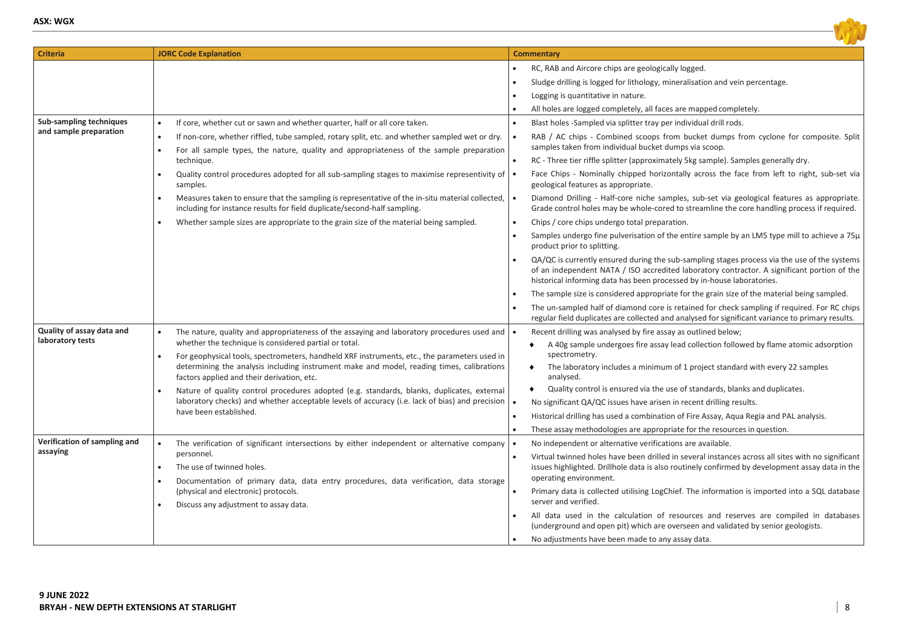

| <b>Criteria</b>                          | <b>JORC Code Explanation</b>                                                                                                                                                              | <b>Commentary</b>                                                                                                                                                                                                                                                     |
|------------------------------------------|-------------------------------------------------------------------------------------------------------------------------------------------------------------------------------------------|-----------------------------------------------------------------------------------------------------------------------------------------------------------------------------------------------------------------------------------------------------------------------|
|                                          |                                                                                                                                                                                           | RC, RAB and Aircore chips are geologically logged.                                                                                                                                                                                                                    |
|                                          |                                                                                                                                                                                           | Sludge drilling is logged for lithology, mineralisation and vein percentage.                                                                                                                                                                                          |
|                                          |                                                                                                                                                                                           | Logging is quantitative in nature.                                                                                                                                                                                                                                    |
|                                          |                                                                                                                                                                                           | All holes are logged completely, all faces are mapped completely.                                                                                                                                                                                                     |
| <b>Sub-sampling techniques</b>           | If core, whether cut or sawn and whether quarter, half or all core taken.                                                                                                                 | Blast holes -Sampled via splitter tray per individual drill rods.                                                                                                                                                                                                     |
| and sample preparation                   | If non-core, whether riffled, tube sampled, rotary split, etc. and whether sampled wet or dry.                                                                                            | RAB / AC chips - Combined scoops from bucket dumps from cyclone for composite. Split                                                                                                                                                                                  |
|                                          | For all sample types, the nature, quality and appropriateness of the sample preparation                                                                                                   | samples taken from individual bucket dumps via scoop.                                                                                                                                                                                                                 |
|                                          | technique.                                                                                                                                                                                | RC - Three tier riffle splitter (approximately 5kg sample). Samples generally dry.                                                                                                                                                                                    |
|                                          | Quality control procedures adopted for all sub-sampling stages to maximise representivity of<br>samples.                                                                                  | Face Chips - Nominally chipped horizontally across the face from left to right, sub-set via<br>geological features as appropriate.                                                                                                                                    |
|                                          | Measures taken to ensure that the sampling is representative of the in-situ material collected, $\cdot$<br>including for instance results for field duplicate/second-half sampling.       | Diamond Drilling - Half-core niche samples, sub-set via geological features as appropriate.<br>Grade control holes may be whole-cored to streamline the core handling process if required.                                                                            |
|                                          | Whether sample sizes are appropriate to the grain size of the material being sampled.                                                                                                     | Chips / core chips undergo total preparation.                                                                                                                                                                                                                         |
|                                          |                                                                                                                                                                                           | Samples undergo fine pulverisation of the entire sample by an LM5 type mill to achieve a $75\mu$<br>product prior to splitting.                                                                                                                                       |
|                                          |                                                                                                                                                                                           | QA/QC is currently ensured during the sub-sampling stages process via the use of the systems<br>of an independent NATA / ISO accredited laboratory contractor. A significant portion of the<br>historical informing data has been processed by in-house laboratories. |
|                                          |                                                                                                                                                                                           | The sample size is considered appropriate for the grain size of the material being sampled.                                                                                                                                                                           |
|                                          |                                                                                                                                                                                           | The un-sampled half of diamond core is retained for check sampling if required. For RC chips<br>regular field duplicates are collected and analysed for significant variance to primary results.                                                                      |
| Quality of assay data and                | The nature, quality and appropriateness of the assaying and laboratory procedures used and                                                                                                | Recent drilling was analysed by fire assay as outlined below;                                                                                                                                                                                                         |
| laboratory tests                         | whether the technique is considered partial or total.                                                                                                                                     | A 40g sample undergoes fire assay lead collection followed by flame atomic adsorption                                                                                                                                                                                 |
|                                          | For geophysical tools, spectrometers, handheld XRF instruments, etc., the parameters used in<br>determining the analysis including instrument make and model, reading times, calibrations | spectrometry.<br>The laboratory includes a minimum of 1 project standard with every 22 samples                                                                                                                                                                        |
|                                          | factors applied and their derivation, etc.                                                                                                                                                | ۰<br>analysed.                                                                                                                                                                                                                                                        |
|                                          | Nature of quality control procedures adopted (e.g. standards, blanks, duplicates, external                                                                                                | Quality control is ensured via the use of standards, blanks and duplicates.<br>٠                                                                                                                                                                                      |
|                                          | laboratory checks) and whether acceptable levels of accuracy (i.e. lack of bias) and precision                                                                                            | No significant QA/QC issues have arisen in recent drilling results.                                                                                                                                                                                                   |
|                                          | have been established.                                                                                                                                                                    | Historical drilling has used a combination of Fire Assay, Aqua Regia and PAL analysis.                                                                                                                                                                                |
|                                          |                                                                                                                                                                                           | These assay methodologies are appropriate for the resources in question.                                                                                                                                                                                              |
| Verification of sampling and<br>assaying | The verification of significant intersections by either independent or alternative company                                                                                                | No independent or alternative verifications are available.                                                                                                                                                                                                            |
|                                          | personnel.                                                                                                                                                                                | Virtual twinned holes have been drilled in several instances across all sites with no significant                                                                                                                                                                     |
|                                          | The use of twinned holes.                                                                                                                                                                 | issues highlighted. Drillhole data is also routinely confirmed by development assay data in the<br>operating environment.                                                                                                                                             |
|                                          | Documentation of primary data, data entry procedures, data verification, data storage<br>(physical and electronic) protocols.                                                             | Primary data is collected utilising LogChief. The information is imported into a SQL database                                                                                                                                                                         |
|                                          | Discuss any adjustment to assay data.                                                                                                                                                     | server and verified.                                                                                                                                                                                                                                                  |
|                                          |                                                                                                                                                                                           | All data used in the calculation of resources and reserves are compiled in databases<br>(underground and open pit) which are overseen and validated by senior geologists.                                                                                             |
|                                          |                                                                                                                                                                                           | No adjustments have been made to any assay data.<br>$\bullet$                                                                                                                                                                                                         |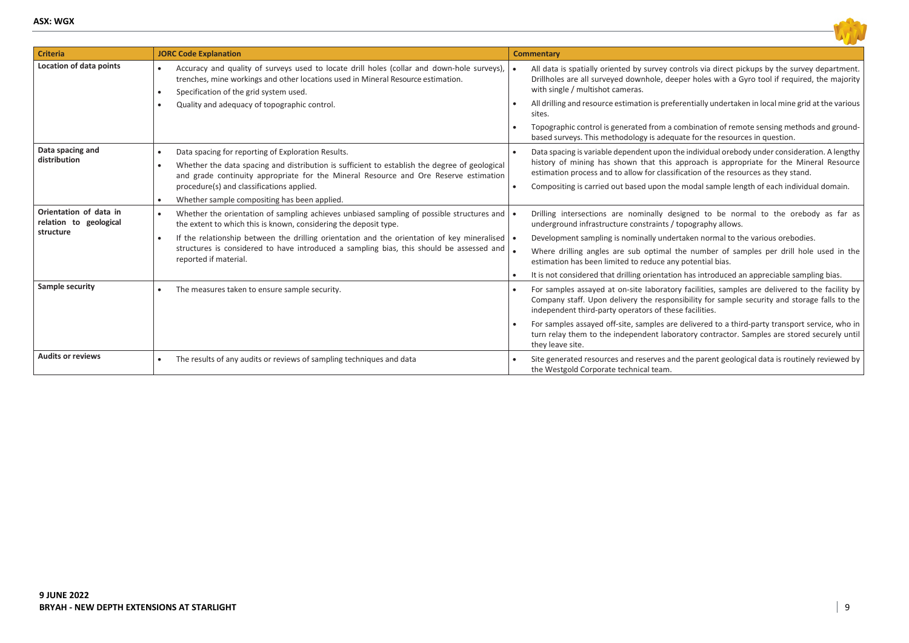

| <b>Criteria</b>                                               | <b>JORC Code Explanation</b>                                                                                                                                                                                                                                                                                                                                                                                          | <b>Commentary</b>                                                                                                                                                                                                                                                                                                                                                                                                                                                                                                               |
|---------------------------------------------------------------|-----------------------------------------------------------------------------------------------------------------------------------------------------------------------------------------------------------------------------------------------------------------------------------------------------------------------------------------------------------------------------------------------------------------------|---------------------------------------------------------------------------------------------------------------------------------------------------------------------------------------------------------------------------------------------------------------------------------------------------------------------------------------------------------------------------------------------------------------------------------------------------------------------------------------------------------------------------------|
| Location of data points                                       | Accuracy and quality of surveys used to locate drill holes (collar and down-hole surveys),<br>trenches, mine workings and other locations used in Mineral Resource estimation.<br>Specification of the grid system used.<br>$\bullet$<br>Quality and adequacy of topographic control.<br>$\bullet$                                                                                                                    | All data is spatially oriented by survey controls via direct pickups by the survey department.<br>Drillholes are all surveyed downhole, deeper holes with a Gyro tool if required, the majority<br>with single / multishot cameras.<br>All drilling and resource estimation is preferentially undertaken in local mine grid at the various<br>sites.<br>Topographic control is generated from a combination of remote sensing methods and ground-<br>based surveys. This methodology is adequate for the resources in question. |
| Data spacing and<br>distribution                              | Data spacing for reporting of Exploration Results.<br>٠<br>Whether the data spacing and distribution is sufficient to establish the degree of geological<br>and grade continuity appropriate for the Mineral Resource and Ore Reserve estimation<br>procedure(s) and classifications applied.<br>Whether sample compositing has been applied.                                                                         | Data spacing is variable dependent upon the individual orebody under consideration. A lengthy<br>history of mining has shown that this approach is appropriate for the Mineral Resource<br>estimation process and to allow for classification of the resources as they stand.<br>Compositing is carried out based upon the modal sample length of each individual domain.                                                                                                                                                       |
| Orientation of data in<br>relation to geological<br>structure | Whether the orientation of sampling achieves unbiased sampling of possible structures and $\cdot$<br>$\bullet$<br>the extent to which this is known, considering the deposit type.<br>If the relationship between the drilling orientation and the orientation of key mineralised $\bullet$<br>٠<br>structures is considered to have introduced a sampling bias, this should be assessed and<br>reported if material. | Drilling intersections are nominally designed to be normal to the orebody as far as<br>underground infrastructure constraints / topography allows.<br>Development sampling is nominally undertaken normal to the various orebodies.<br>Where drilling angles are sub optimal the number of samples per drill hole used in the<br>estimation has been limited to reduce any potential bias.<br>It is not considered that drilling orientation has introduced an appreciable sampling bias.                                       |
| Sample security                                               | The measures taken to ensure sample security.                                                                                                                                                                                                                                                                                                                                                                         | For samples assayed at on-site laboratory facilities, samples are delivered to the facility by<br>Company staff. Upon delivery the responsibility for sample security and storage falls to the<br>independent third-party operators of these facilities.<br>For samples assayed off-site, samples are delivered to a third-party transport service, who in<br>turn relay them to the independent laboratory contractor. Samples are stored securely until<br>they leave site.                                                   |
| <b>Audits or reviews</b>                                      | The results of any audits or reviews of sampling techniques and data                                                                                                                                                                                                                                                                                                                                                  | Site generated resources and reserves and the parent geological data is routinely reviewed by<br>the Westgold Corporate technical team.                                                                                                                                                                                                                                                                                                                                                                                         |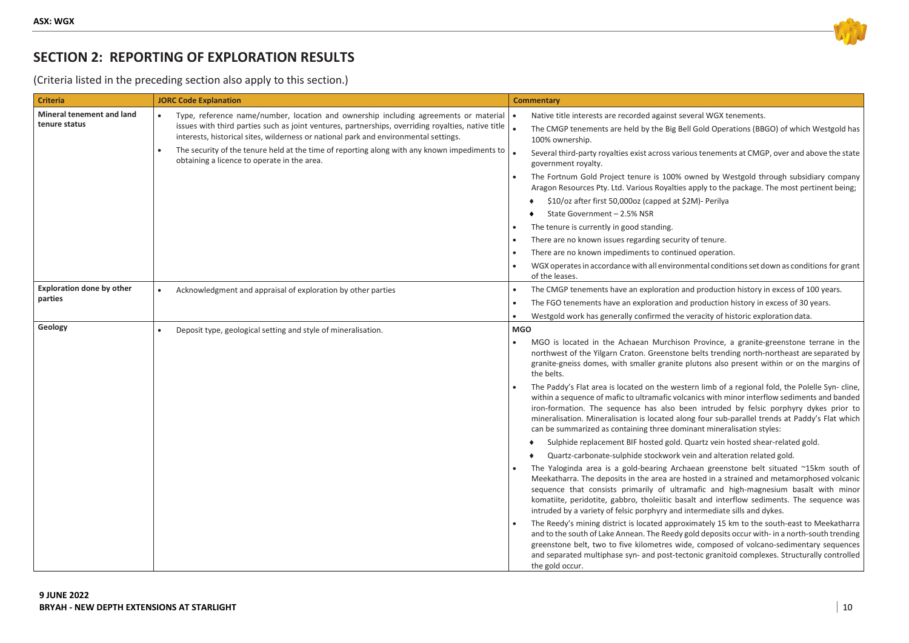

## **SECTION 2: REPORTING OF EXPLORATION RESULTS**

(Criteria listed in the preceding section also apply to this section.)

| <b>Criteria</b>                            | <b>JORC Code Explanation</b>                                                                                                                                                                                                                                                       | <b>Commentary</b>                                                                                                                                                                                                                                                                                                                                                                                                                                                    |
|--------------------------------------------|------------------------------------------------------------------------------------------------------------------------------------------------------------------------------------------------------------------------------------------------------------------------------------|----------------------------------------------------------------------------------------------------------------------------------------------------------------------------------------------------------------------------------------------------------------------------------------------------------------------------------------------------------------------------------------------------------------------------------------------------------------------|
| Mineral tenement and land<br>tenure status | Type, reference name/number, location and ownership including agreements or material<br>issues with third parties such as joint ventures, partnerships, overriding royalties, native title<br>interests, historical sites, wilderness or national park and environmental settings. | Native title interests are recorded against several WGX tenements.<br>The CMGP tenements are held by the Big Bell Gold Operations (BBGO) of which Westgold has<br>100% ownership.                                                                                                                                                                                                                                                                                    |
|                                            | The security of the tenure held at the time of reporting along with any known impediments to<br>obtaining a licence to operate in the area.                                                                                                                                        | Several third-party royalties exist across various tenements at CMGP, over and above the state<br>government royalty.                                                                                                                                                                                                                                                                                                                                                |
|                                            |                                                                                                                                                                                                                                                                                    | The Fortnum Gold Project tenure is 100% owned by Westgold through subsidiary company<br>Aragon Resources Pty. Ltd. Various Royalties apply to the package. The most pertinent being;                                                                                                                                                                                                                                                                                 |
|                                            |                                                                                                                                                                                                                                                                                    | \$10/oz after first 50,000oz (capped at \$2M)- Perilya                                                                                                                                                                                                                                                                                                                                                                                                               |
|                                            |                                                                                                                                                                                                                                                                                    | State Government - 2.5% NSR                                                                                                                                                                                                                                                                                                                                                                                                                                          |
|                                            |                                                                                                                                                                                                                                                                                    | The tenure is currently in good standing.                                                                                                                                                                                                                                                                                                                                                                                                                            |
|                                            |                                                                                                                                                                                                                                                                                    | There are no known issues regarding security of tenure.                                                                                                                                                                                                                                                                                                                                                                                                              |
|                                            |                                                                                                                                                                                                                                                                                    | There are no known impediments to continued operation.                                                                                                                                                                                                                                                                                                                                                                                                               |
|                                            |                                                                                                                                                                                                                                                                                    | WGX operates in accordance with all environmental conditions set down as conditions for grant<br>of the leases.                                                                                                                                                                                                                                                                                                                                                      |
| <b>Exploration done by other</b>           | Acknowledgment and appraisal of exploration by other parties                                                                                                                                                                                                                       | The CMGP tenements have an exploration and production history in excess of 100 years.                                                                                                                                                                                                                                                                                                                                                                                |
| parties                                    |                                                                                                                                                                                                                                                                                    | The FGO tenements have an exploration and production history in excess of 30 years.                                                                                                                                                                                                                                                                                                                                                                                  |
|                                            |                                                                                                                                                                                                                                                                                    | Westgold work has generally confirmed the veracity of historic exploration data.                                                                                                                                                                                                                                                                                                                                                                                     |
| Geology                                    | Deposit type, geological setting and style of mineralisation.                                                                                                                                                                                                                      | <b>MGO</b>                                                                                                                                                                                                                                                                                                                                                                                                                                                           |
|                                            |                                                                                                                                                                                                                                                                                    | MGO is located in the Achaean Murchison Province, a granite-greenstone terrane in the<br>northwest of the Yilgarn Craton. Greenstone belts trending north-northeast are separated by<br>granite-gneiss domes, with smaller granite plutons also present within or on the margins of<br>the belts.                                                                                                                                                                    |
|                                            |                                                                                                                                                                                                                                                                                    | The Paddy's Flat area is located on the western limb of a regional fold, the Polelle Syn- cline,<br>within a sequence of mafic to ultramafic volcanics with minor interflow sediments and banded<br>iron-formation. The sequence has also been intruded by felsic porphyry dykes prior to<br>mineralisation. Mineralisation is located along four sub-parallel trends at Paddy's Flat which<br>can be summarized as containing three dominant mineralisation styles: |
|                                            |                                                                                                                                                                                                                                                                                    | Sulphide replacement BIF hosted gold. Quartz vein hosted shear-related gold.                                                                                                                                                                                                                                                                                                                                                                                         |
|                                            |                                                                                                                                                                                                                                                                                    | Quartz-carbonate-sulphide stockwork vein and alteration related gold.                                                                                                                                                                                                                                                                                                                                                                                                |
|                                            |                                                                                                                                                                                                                                                                                    | The Yaloginda area is a gold-bearing Archaean greenstone belt situated ~15km south of<br>Meekatharra. The deposits in the area are hosted in a strained and metamorphosed volcanic<br>sequence that consists primarily of ultramafic and high-magnesium basalt with minor<br>komatiite, peridotite, gabbro, tholeiitic basalt and interflow sediments. The sequence was<br>intruded by a variety of felsic porphyry and intermediate sills and dykes.                |
|                                            |                                                                                                                                                                                                                                                                                    | The Reedy's mining district is located approximately 15 km to the south-east to Meekatharra<br>and to the south of Lake Annean. The Reedy gold deposits occur with- in a north-south trending<br>greenstone belt, two to five kilometres wide, composed of volcano-sedimentary sequences<br>and separated multiphase syn- and post-tectonic granitoid complexes. Structurally controlled<br>the gold occur.                                                          |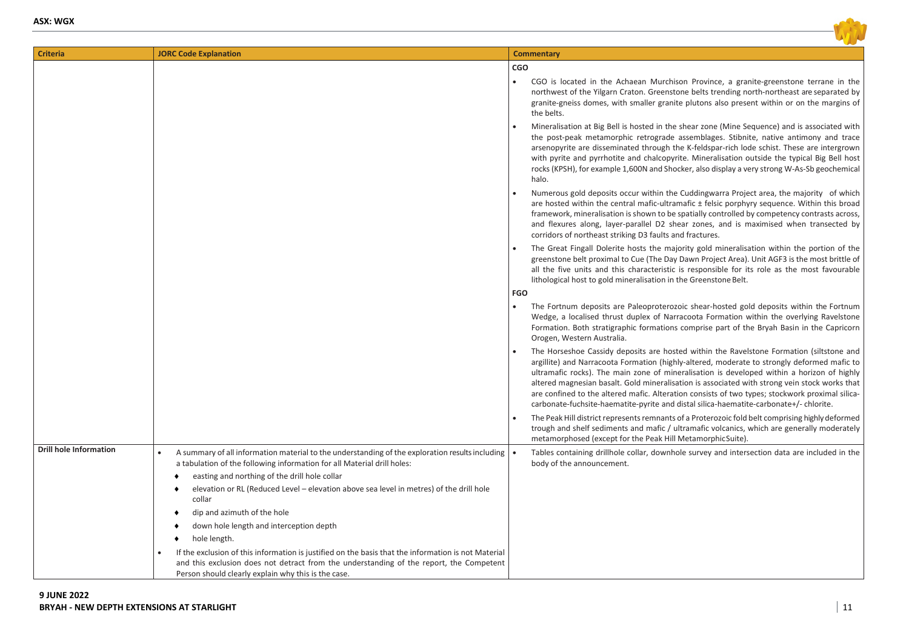

| <b>Criteria</b>               | <b>JORC Code Explanation</b>                                                                                                                                                                                                                                                                                                                                                                                              | <b>Commentary</b>                                                                                                                                                                                                                                                                                                                                                                                                                                                                                                                                                                   |
|-------------------------------|---------------------------------------------------------------------------------------------------------------------------------------------------------------------------------------------------------------------------------------------------------------------------------------------------------------------------------------------------------------------------------------------------------------------------|-------------------------------------------------------------------------------------------------------------------------------------------------------------------------------------------------------------------------------------------------------------------------------------------------------------------------------------------------------------------------------------------------------------------------------------------------------------------------------------------------------------------------------------------------------------------------------------|
|                               |                                                                                                                                                                                                                                                                                                                                                                                                                           | <b>CGO</b>                                                                                                                                                                                                                                                                                                                                                                                                                                                                                                                                                                          |
|                               |                                                                                                                                                                                                                                                                                                                                                                                                                           | CGO is located in the Achaean Murchison Province, a granite-greenstone terrane in the<br>northwest of the Yilgarn Craton. Greenstone belts trending north-northeast are separated by<br>granite-gneiss domes, with smaller granite plutons also present within or on the margins of<br>the belts.                                                                                                                                                                                                                                                                                   |
|                               |                                                                                                                                                                                                                                                                                                                                                                                                                           | Mineralisation at Big Bell is hosted in the shear zone (Mine Sequence) and is associated with<br>the post-peak metamorphic retrograde assemblages. Stibnite, native antimony and trace<br>arsenopyrite are disseminated through the K-feldspar-rich lode schist. These are intergrown<br>with pyrite and pyrrhotite and chalcopyrite. Mineralisation outside the typical Big Bell host<br>rocks (KPSH), for example 1,600N and Shocker, also display a very strong W-As-Sb geochemical<br>halo.                                                                                     |
|                               |                                                                                                                                                                                                                                                                                                                                                                                                                           | Numerous gold deposits occur within the Cuddingwarra Project area, the majority of which<br>are hosted within the central mafic-ultramafic ± felsic porphyry sequence. Within this broad<br>framework, mineralisation is shown to be spatially controlled by competency contrasts across,<br>and flexures along, layer-parallel D2 shear zones, and is maximised when transected by<br>corridors of northeast striking D3 faults and fractures.                                                                                                                                     |
|                               |                                                                                                                                                                                                                                                                                                                                                                                                                           | The Great Fingall Dolerite hosts the majority gold mineralisation within the portion of the<br>greenstone belt proximal to Cue (The Day Dawn Project Area). Unit AGF3 is the most brittle of<br>all the five units and this characteristic is responsible for its role as the most favourable<br>lithological host to gold mineralisation in the Greenstone Belt.                                                                                                                                                                                                                   |
|                               |                                                                                                                                                                                                                                                                                                                                                                                                                           | <b>FGO</b>                                                                                                                                                                                                                                                                                                                                                                                                                                                                                                                                                                          |
|                               |                                                                                                                                                                                                                                                                                                                                                                                                                           | The Fortnum deposits are Paleoproterozoic shear-hosted gold deposits within the Fortnum<br>Wedge, a localised thrust duplex of Narracoota Formation within the overlying Ravelstone<br>Formation. Both stratigraphic formations comprise part of the Bryah Basin in the Capricorn<br>Orogen, Western Australia.                                                                                                                                                                                                                                                                     |
|                               |                                                                                                                                                                                                                                                                                                                                                                                                                           | The Horseshoe Cassidy deposits are hosted within the Ravelstone Formation (siltstone and<br>argillite) and Narracoota Formation (highly-altered, moderate to strongly deformed mafic to<br>ultramafic rocks). The main zone of mineralisation is developed within a horizon of highly<br>altered magnesian basalt. Gold mineralisation is associated with strong vein stock works that<br>are confined to the altered mafic. Alteration consists of two types; stockwork proximal silica-<br>carbonate-fuchsite-haematite-pyrite and distal silica-haematite-carbonate+/- chlorite. |
|                               |                                                                                                                                                                                                                                                                                                                                                                                                                           | The Peak Hill district represents remnants of a Proterozoic fold belt comprising highly deformed<br>trough and shelf sediments and mafic / ultramafic volcanics, which are generally moderately<br>metamorphosed (except for the Peak Hill Metamorphic Suite).                                                                                                                                                                                                                                                                                                                      |
| <b>Drill hole Information</b> | A summary of all information material to the understanding of the exploration results including<br>a tabulation of the following information for all Material drill holes:<br>easting and northing of the drill hole collar<br>٠<br>elevation or RL (Reduced Level – elevation above sea level in metres) of the drill hole<br>٠<br>collar<br>dip and azimuth of the hole<br>۰<br>down hole length and interception depth | Tables containing drillhole collar, downhole survey and intersection data are included in the<br>body of the announcement.                                                                                                                                                                                                                                                                                                                                                                                                                                                          |
|                               | hole length.<br>$\bullet$<br>If the exclusion of this information is justified on the basis that the information is not Material<br>and this exclusion does not detract from the understanding of the report, the Competent<br>Person should clearly explain why this is the case.                                                                                                                                        |                                                                                                                                                                                                                                                                                                                                                                                                                                                                                                                                                                                     |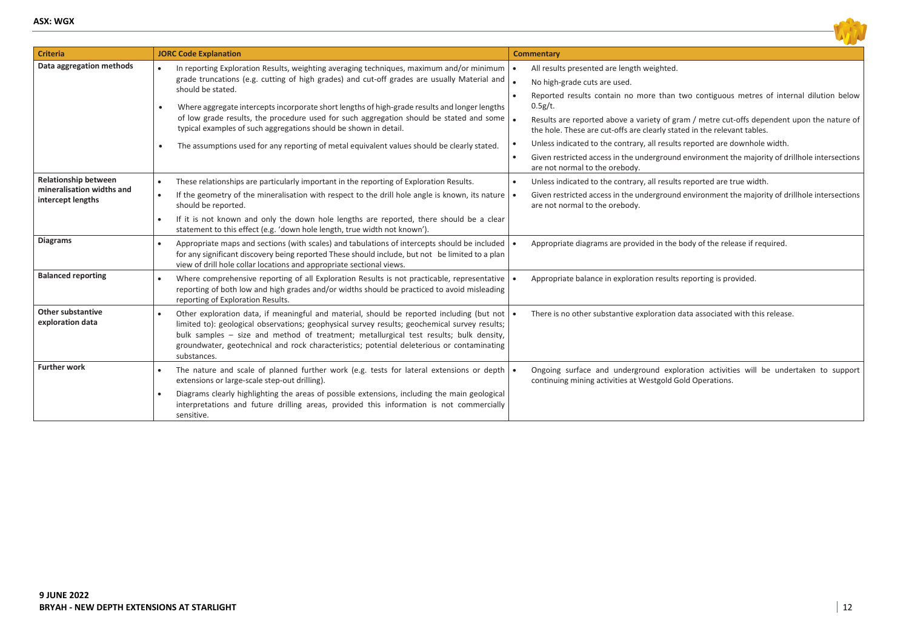

| <b>Criteria</b>                                                               | <b>JORC Code Explanation</b>                                                                                                                                                                                                                                                                                                                                                                                                                                                                                                                                                                              | <b>Commentary</b>                                                                                                                                                                                                                                                                                                                                                                                                                                                                                                                                                          |
|-------------------------------------------------------------------------------|-----------------------------------------------------------------------------------------------------------------------------------------------------------------------------------------------------------------------------------------------------------------------------------------------------------------------------------------------------------------------------------------------------------------------------------------------------------------------------------------------------------------------------------------------------------------------------------------------------------|----------------------------------------------------------------------------------------------------------------------------------------------------------------------------------------------------------------------------------------------------------------------------------------------------------------------------------------------------------------------------------------------------------------------------------------------------------------------------------------------------------------------------------------------------------------------------|
| Data aggregation methods                                                      | In reporting Exploration Results, weighting averaging techniques, maximum and/or minimum   •<br>grade truncations (e.g. cutting of high grades) and cut-off grades are usually Material and<br>should be stated.<br>Where aggregate intercepts incorporate short lengths of high-grade results and longer lengths<br>$\bullet$<br>of low grade results, the procedure used for such aggregation should be stated and some<br>typical examples of such aggregations should be shown in detail.<br>The assumptions used for any reporting of metal equivalent values should be clearly stated.<br>$\bullet$ | All results presented are length weighted.<br>No high-grade cuts are used.<br>Reported results contain no more than two contiguous metres of internal dilution below<br>0.5g/t.<br>Results are reported above a variety of gram / metre cut-offs dependent upon the nature of<br>the hole. These are cut-offs are clearly stated in the relevant tables.<br>Unless indicated to the contrary, all results reported are downhole width.<br>Given restricted access in the underground environment the majority of drillhole intersections<br>are not normal to the orebody. |
| <b>Relationship between</b><br>mineralisation widths and<br>intercept lengths | These relationships are particularly important in the reporting of Exploration Results.<br>If the geometry of the mineralisation with respect to the drill hole angle is known, its nature $ \bullet $<br>$\bullet$<br>should be reported.<br>If it is not known and only the down hole lengths are reported, there should be a clear<br>$\bullet$<br>statement to this effect (e.g. 'down hole length, true width not known')                                                                                                                                                                            | Unless indicated to the contrary, all results reported are true width.<br>Given restricted access in the underground environment the majority of drillhole intersections<br>are not normal to the orebody.                                                                                                                                                                                                                                                                                                                                                                 |
| <b>Diagrams</b>                                                               | Appropriate maps and sections (with scales) and tabulations of intercepts should be included<br>for any significant discovery being reported These should include, but not be limited to a plan<br>view of drill hole collar locations and appropriate sectional views.                                                                                                                                                                                                                                                                                                                                   | Appropriate diagrams are provided in the body of the release if required.                                                                                                                                                                                                                                                                                                                                                                                                                                                                                                  |
| <b>Balanced reporting</b>                                                     | Where comprehensive reporting of all Exploration Results is not practicable, representative<br>reporting of both low and high grades and/or widths should be practiced to avoid misleading<br>reporting of Exploration Results.                                                                                                                                                                                                                                                                                                                                                                           | Appropriate balance in exploration results reporting is provided.                                                                                                                                                                                                                                                                                                                                                                                                                                                                                                          |
| <b>Other substantive</b><br>exploration data                                  | Other exploration data, if meaningful and material, should be reported including (but not<br>limited to): geological observations; geophysical survey results; geochemical survey results;<br>bulk samples - size and method of treatment; metallurgical test results; bulk density,<br>groundwater, geotechnical and rock characteristics; potential deleterious or contaminating<br>substances.                                                                                                                                                                                                         | There is no other substantive exploration data associated with this release.                                                                                                                                                                                                                                                                                                                                                                                                                                                                                               |
| <b>Further work</b>                                                           | The nature and scale of planned further work (e.g. tests for lateral extensions or depth $\bullet$<br>$\bullet$<br>extensions or large-scale step-out drilling).<br>Diagrams clearly highlighting the areas of possible extensions, including the main geological<br>interpretations and future drilling areas, provided this information is not commercially<br>sensitive.                                                                                                                                                                                                                               | Ongoing surface and underground exploration activities will be undertaken to support<br>continuing mining activities at Westgold Gold Operations.                                                                                                                                                                                                                                                                                                                                                                                                                          |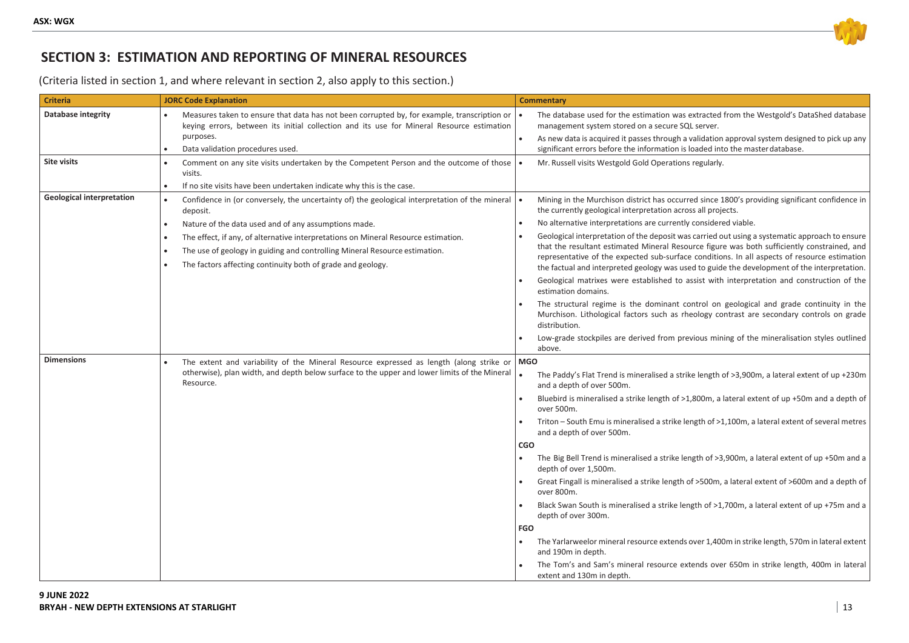

## **SECTION 3: ESTIMATION AND REPORTING OF MINERAL RESOURCES**

(Criteria listed in section 1, and where relevant in section 2, also apply to this section.)

| <b>Criteria</b>                  | <b>JORC Code Explanation</b>                                                                                                                                                                                                                 | <b>Commentary</b>                                                                                                                                                                                                                                                                                                                                                                             |
|----------------------------------|----------------------------------------------------------------------------------------------------------------------------------------------------------------------------------------------------------------------------------------------|-----------------------------------------------------------------------------------------------------------------------------------------------------------------------------------------------------------------------------------------------------------------------------------------------------------------------------------------------------------------------------------------------|
| Database integrity               | Measures taken to ensure that data has not been corrupted by, for example, transcription or<br>keying errors, between its initial collection and its use for Mineral Resource estimation<br>purposes.                                        | The database used for the estimation was extracted from the Westgold's DataShed database<br>management system stored on a secure SQL server.<br>As new data is acquired it passes through a validation approval system designed to pick up any                                                                                                                                                |
|                                  | Data validation procedures used.                                                                                                                                                                                                             | significant errors before the information is loaded into the master database.                                                                                                                                                                                                                                                                                                                 |
| <b>Site visits</b>               | Comment on any site visits undertaken by the Competent Person and the outcome of those<br>visits.                                                                                                                                            | Mr. Russell visits Westgold Gold Operations regularly.                                                                                                                                                                                                                                                                                                                                        |
|                                  | If no site visits have been undertaken indicate why this is the case.                                                                                                                                                                        |                                                                                                                                                                                                                                                                                                                                                                                               |
| <b>Geological interpretation</b> | Confidence in (or conversely, the uncertainty of) the geological interpretation of the mineral<br>deposit.                                                                                                                                   | Mining in the Murchison district has occurred since 1800's providing significant confidence in<br>the currently geological interpretation across all projects.                                                                                                                                                                                                                                |
|                                  | Nature of the data used and of any assumptions made.<br>$\bullet$                                                                                                                                                                            | No alternative interpretations are currently considered viable.<br>$\bullet$                                                                                                                                                                                                                                                                                                                  |
|                                  | The effect, if any, of alternative interpretations on Mineral Resource estimation.<br>$\bullet$<br>The use of geology in guiding and controlling Mineral Resource estimation.<br>The factors affecting continuity both of grade and geology. | Geological interpretation of the deposit was carried out using a systematic approach to ensure<br>that the resultant estimated Mineral Resource figure was both sufficiently constrained, and<br>representative of the expected sub-surface conditions. In all aspects of resource estimation<br>the factual and interpreted geology was used to guide the development of the interpretation. |
|                                  |                                                                                                                                                                                                                                              | Geological matrixes were established to assist with interpretation and construction of the<br>estimation domains.                                                                                                                                                                                                                                                                             |
|                                  |                                                                                                                                                                                                                                              | The structural regime is the dominant control on geological and grade continuity in the<br>Murchison. Lithological factors such as rheology contrast are secondary controls on grade<br>distribution.                                                                                                                                                                                         |
|                                  |                                                                                                                                                                                                                                              | Low-grade stockpiles are derived from previous mining of the mineralisation styles outlined<br>above.                                                                                                                                                                                                                                                                                         |
| <b>Dimensions</b>                | The extent and variability of the Mineral Resource expressed as length (along strike or                                                                                                                                                      | <b>MGO</b>                                                                                                                                                                                                                                                                                                                                                                                    |
|                                  | otherwise), plan width, and depth below surface to the upper and lower limits of the Mineral<br>Resource.                                                                                                                                    | The Paddy's Flat Trend is mineralised a strike length of >3,900m, a lateral extent of up +230m<br>and a depth of over 500m.                                                                                                                                                                                                                                                                   |
|                                  |                                                                                                                                                                                                                                              | Bluebird is mineralised a strike length of >1,800m, a lateral extent of up +50m and a depth of<br>over 500m.                                                                                                                                                                                                                                                                                  |
|                                  |                                                                                                                                                                                                                                              | Triton – South Emu is mineralised a strike length of >1,100m, a lateral extent of several metres<br>and a depth of over 500m.                                                                                                                                                                                                                                                                 |
|                                  |                                                                                                                                                                                                                                              | <b>CGO</b>                                                                                                                                                                                                                                                                                                                                                                                    |
|                                  |                                                                                                                                                                                                                                              | The Big Bell Trend is mineralised a strike length of >3,900m, a lateral extent of up +50m and a<br>depth of over 1,500m.                                                                                                                                                                                                                                                                      |
|                                  |                                                                                                                                                                                                                                              | Great Fingall is mineralised a strike length of >500m, a lateral extent of >600m and a depth of<br>over 800m.                                                                                                                                                                                                                                                                                 |
|                                  |                                                                                                                                                                                                                                              | Black Swan South is mineralised a strike length of $>1,700$ m, a lateral extent of up +75m and a<br>depth of over 300m.                                                                                                                                                                                                                                                                       |
|                                  |                                                                                                                                                                                                                                              | <b>FGO</b>                                                                                                                                                                                                                                                                                                                                                                                    |
|                                  |                                                                                                                                                                                                                                              | The Yarlarweelor mineral resource extends over 1,400m in strike length, 570m in lateral extent<br>and 190m in depth.                                                                                                                                                                                                                                                                          |
|                                  |                                                                                                                                                                                                                                              | The Tom's and Sam's mineral resource extends over 650m in strike length, 400m in lateral<br>extent and 130m in depth.                                                                                                                                                                                                                                                                         |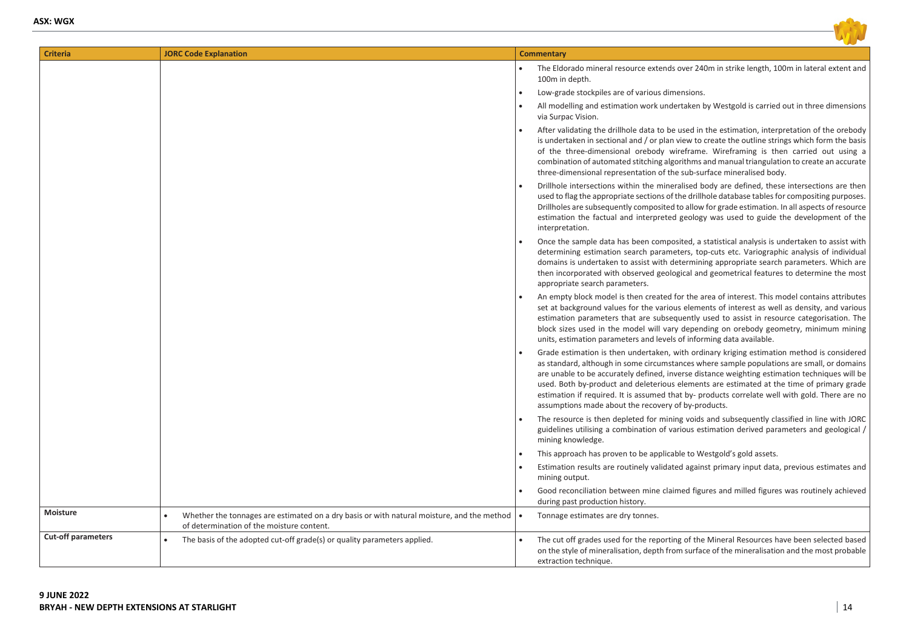

| <b>Criteria</b>           | <b>JORC Code Explanation</b>                                                                                                            | <b>Commentary</b>                                                                                                                                                                                                                                                                                                                                                                                                                                                                                                                               |
|---------------------------|-----------------------------------------------------------------------------------------------------------------------------------------|-------------------------------------------------------------------------------------------------------------------------------------------------------------------------------------------------------------------------------------------------------------------------------------------------------------------------------------------------------------------------------------------------------------------------------------------------------------------------------------------------------------------------------------------------|
|                           |                                                                                                                                         | The Eldorado mineral resource extends over 240m in strike length, 100m in lateral extent and<br>100m in depth.                                                                                                                                                                                                                                                                                                                                                                                                                                  |
|                           |                                                                                                                                         | Low-grade stockpiles are of various dimensions.                                                                                                                                                                                                                                                                                                                                                                                                                                                                                                 |
|                           |                                                                                                                                         | All modelling and estimation work undertaken by Westgold is carried out in three dimensions<br>via Surpac Vision.                                                                                                                                                                                                                                                                                                                                                                                                                               |
|                           |                                                                                                                                         | After validating the drillhole data to be used in the estimation, interpretation of the orebody<br>is undertaken in sectional and / or plan view to create the outline strings which form the basis<br>of the three-dimensional orebody wireframe. Wireframing is then carried out using a<br>combination of automated stitching algorithms and manual triangulation to create an accurate<br>three-dimensional representation of the sub-surface mineralised body.                                                                             |
|                           |                                                                                                                                         | Drillhole intersections within the mineralised body are defined, these intersections are then<br>used to flag the appropriate sections of the drillhole database tables for compositing purposes.<br>Drillholes are subsequently composited to allow for grade estimation. In all aspects of resource<br>estimation the factual and interpreted geology was used to guide the development of the<br>interpretation.                                                                                                                             |
|                           |                                                                                                                                         | Once the sample data has been composited, a statistical analysis is undertaken to assist with<br>determining estimation search parameters, top-cuts etc. Variographic analysis of individual<br>domains is undertaken to assist with determining appropriate search parameters. Which are<br>then incorporated with observed geological and geometrical features to determine the most<br>appropriate search parameters.                                                                                                                        |
|                           |                                                                                                                                         | An empty block model is then created for the area of interest. This model contains attributes<br>set at background values for the various elements of interest as well as density, and various<br>estimation parameters that are subsequently used to assist in resource categorisation. The<br>block sizes used in the model will vary depending on orebody geometry, minimum mining<br>units, estimation parameters and levels of informing data available.                                                                                   |
|                           |                                                                                                                                         | Grade estimation is then undertaken, with ordinary kriging estimation method is considered<br>as standard, although in some circumstances where sample populations are small, or domains<br>are unable to be accurately defined, inverse distance weighting estimation techniques will be<br>used. Both by-product and deleterious elements are estimated at the time of primary grade<br>estimation if required. It is assumed that by- products correlate well with gold. There are no<br>assumptions made about the recovery of by-products. |
|                           |                                                                                                                                         | The resource is then depleted for mining voids and subsequently classified in line with JORC<br>guidelines utilising a combination of various estimation derived parameters and geological /<br>mining knowledge.                                                                                                                                                                                                                                                                                                                               |
|                           |                                                                                                                                         | This approach has proven to be applicable to Westgold's gold assets.                                                                                                                                                                                                                                                                                                                                                                                                                                                                            |
|                           |                                                                                                                                         | Estimation results are routinely validated against primary input data, previous estimates and<br>mining output.                                                                                                                                                                                                                                                                                                                                                                                                                                 |
|                           |                                                                                                                                         | Good reconciliation between mine claimed figures and milled figures was routinely achieved<br>during past production history.                                                                                                                                                                                                                                                                                                                                                                                                                   |
| Moisture                  | Whether the tonnages are estimated on a dry basis or with natural moisture, and the method<br>of determination of the moisture content. | Tonnage estimates are dry tonnes.                                                                                                                                                                                                                                                                                                                                                                                                                                                                                                               |
| <b>Cut-off parameters</b> | The basis of the adopted cut-off grade(s) or quality parameters applied.                                                                | The cut off grades used for the reporting of the Mineral Resources have been selected based<br>on the style of mineralisation, depth from surface of the mineralisation and the most probable<br>extraction technique.                                                                                                                                                                                                                                                                                                                          |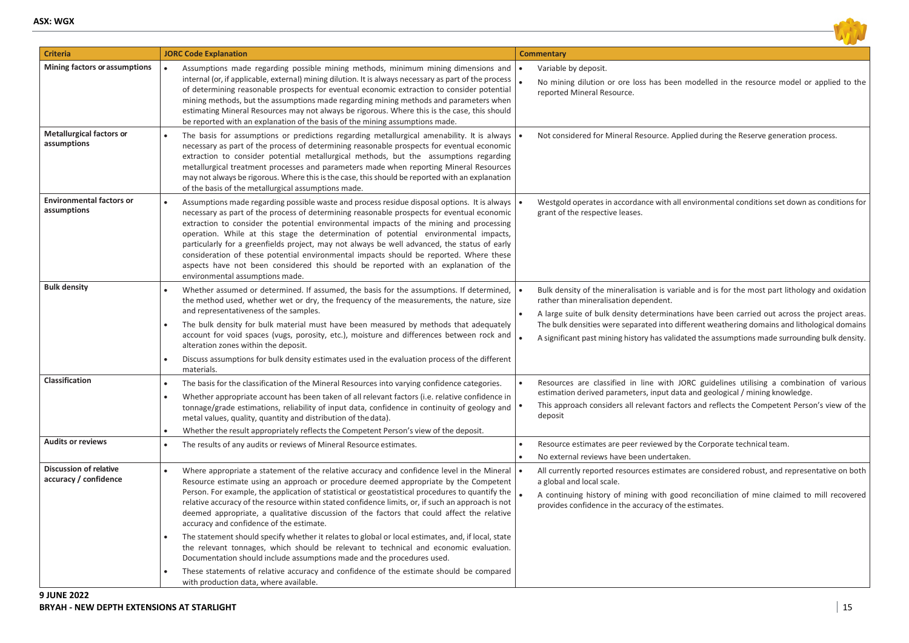

| <b>Criteria</b>                                 | <b>JORC Code Explanation</b>                                                                                                                                                                                                                                                                                                                                                                                                                                                                                                                                                                                                                                                                      | <b>Commentary</b>                                                                                                                                                                                                                                                                                                                                                                                                                          |
|-------------------------------------------------|---------------------------------------------------------------------------------------------------------------------------------------------------------------------------------------------------------------------------------------------------------------------------------------------------------------------------------------------------------------------------------------------------------------------------------------------------------------------------------------------------------------------------------------------------------------------------------------------------------------------------------------------------------------------------------------------------|--------------------------------------------------------------------------------------------------------------------------------------------------------------------------------------------------------------------------------------------------------------------------------------------------------------------------------------------------------------------------------------------------------------------------------------------|
| Mining factors or assumptions                   | Assumptions made regarding possible mining methods, minimum mining dimensions and<br>internal (or, if applicable, external) mining dilution. It is always necessary as part of the process<br>of determining reasonable prospects for eventual economic extraction to consider potential<br>mining methods, but the assumptions made regarding mining methods and parameters when<br>estimating Mineral Resources may not always be rigorous. Where this is the case, this should<br>be reported with an explanation of the basis of the mining assumptions made.                                                                                                                                 | Variable by deposit.<br>No mining dilution or ore loss has been modelled in the resource model or applied to the<br>reported Mineral Resource.                                                                                                                                                                                                                                                                                             |
| <b>Metallurgical factors or</b><br>assumptions  | The basis for assumptions or predictions regarding metallurgical amenability. It is always<br>necessary as part of the process of determining reasonable prospects for eventual economic<br>extraction to consider potential metallurgical methods, but the assumptions regarding<br>metallurgical treatment processes and parameters made when reporting Mineral Resources<br>may not always be rigorous. Where this is the case, this should be reported with an explanation<br>of the basis of the metallurgical assumptions made.                                                                                                                                                             | Not considered for Mineral Resource. Applied during the Reserve generation process.                                                                                                                                                                                                                                                                                                                                                        |
| <b>Environmental factors or</b><br>assumptions  | Assumptions made regarding possible waste and process residue disposal options. It is always<br>necessary as part of the process of determining reasonable prospects for eventual economic<br>extraction to consider the potential environmental impacts of the mining and processing<br>operation. While at this stage the determination of potential environmental impacts,<br>particularly for a greenfields project, may not always be well advanced, the status of early<br>consideration of these potential environmental impacts should be reported. Where these<br>aspects have not been considered this should be reported with an explanation of the<br>environmental assumptions made. | Westgold operates in accordance with all environmental conditions set down as conditions for<br>grant of the respective leases.                                                                                                                                                                                                                                                                                                            |
| <b>Bulk density</b>                             | Whether assumed or determined. If assumed, the basis for the assumptions. If determined,<br>the method used, whether wet or dry, the frequency of the measurements, the nature, size<br>and representativeness of the samples.<br>The bulk density for bulk material must have been measured by methods that adequately<br>$\bullet$<br>account for void spaces (vugs, porosity, etc.), moisture and differences between rock and<br>alteration zones within the deposit.<br>Discuss assumptions for bulk density estimates used in the evaluation process of the different<br>$\bullet$<br>materials.                                                                                            | Bulk density of the mineralisation is variable and is for the most part lithology and oxidation<br>rather than mineralisation dependent.<br>A large suite of bulk density determinations have been carried out across the project areas.<br>The bulk densities were separated into different weathering domains and lithological domains<br>A significant past mining history has validated the assumptions made surrounding bulk density. |
| <b>Classification</b>                           | The basis for the classification of the Mineral Resources into varying confidence categories.<br>Whether appropriate account has been taken of all relevant factors (i.e. relative confidence in<br>tonnage/grade estimations, reliability of input data, confidence in continuity of geology and<br>metal values, quality, quantity and distribution of the data).<br>Whether the result appropriately reflects the Competent Person's view of the deposit.                                                                                                                                                                                                                                      | Resources are classified in line with JORC guidelines utilising a combination of various<br>estimation derived parameters, input data and geological / mining knowledge.<br>This approach considers all relevant factors and reflects the Competent Person's view of the<br>deposit                                                                                                                                                        |
| <b>Audits or reviews</b>                        | The results of any audits or reviews of Mineral Resource estimates.<br>$\bullet$                                                                                                                                                                                                                                                                                                                                                                                                                                                                                                                                                                                                                  | Resource estimates are peer reviewed by the Corporate technical team.<br>No external reviews have been undertaken.                                                                                                                                                                                                                                                                                                                         |
| Discussion of relative<br>accuracy / confidence | Where appropriate a statement of the relative accuracy and confidence level in the Mineral<br>Resource estimate using an approach or procedure deemed appropriate by the Competent<br>Person. For example, the application of statistical or geostatistical procedures to quantify the<br>relative accuracy of the resource within stated confidence limits, or, if such an approach is not<br>deemed appropriate, a qualitative discussion of the factors that could affect the relative<br>accuracy and confidence of the estimate.<br>The statement should specify whether it relates to global or local estimates, and, if local, state<br>$\bullet$                                          | All currently reported resources estimates are considered robust, and representative on both<br>a global and local scale.<br>A continuing history of mining with good reconciliation of mine claimed to mill recovered<br>provides confidence in the accuracy of the estimates.                                                                                                                                                            |
|                                                 | the relevant tonnages, which should be relevant to technical and economic evaluation.<br>Documentation should include assumptions made and the procedures used.<br>These statements of relative accuracy and confidence of the estimate should be compared<br>with production data, where available.                                                                                                                                                                                                                                                                                                                                                                                              |                                                                                                                                                                                                                                                                                                                                                                                                                                            |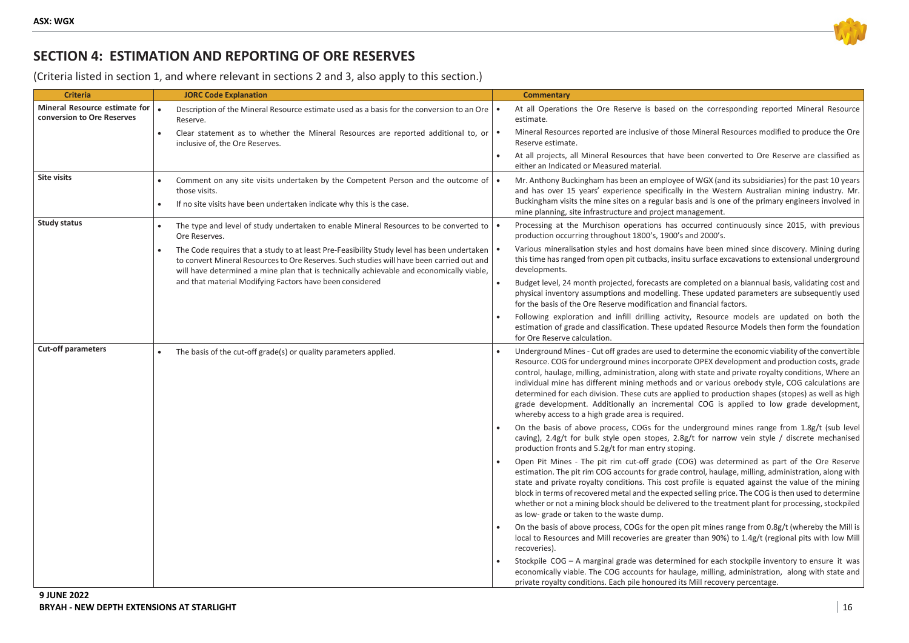

## **SECTION 4: ESTIMATION AND REPORTING OF ORE RESERVES**

(Criteria listed in section 1, and where relevant in sections 2 and 3, also apply to this section.)

| <b>Criteria</b>                                             | <b>JORC Code Explanation</b>                                                                                                                                                                                                                                                        | <b>Commentary</b>                                                                                                                                                                                                                                                                                                                                                                                                                                                                                                                                                                                                                                                  |
|-------------------------------------------------------------|-------------------------------------------------------------------------------------------------------------------------------------------------------------------------------------------------------------------------------------------------------------------------------------|--------------------------------------------------------------------------------------------------------------------------------------------------------------------------------------------------------------------------------------------------------------------------------------------------------------------------------------------------------------------------------------------------------------------------------------------------------------------------------------------------------------------------------------------------------------------------------------------------------------------------------------------------------------------|
| Mineral Resource estimate for<br>conversion to Ore Reserves | Description of the Mineral Resource estimate used as a basis for the conversion to an Ore<br>Reserve.                                                                                                                                                                               | At all Operations the Ore Reserve is based on the corresponding reported Mineral Resource<br>estimate.                                                                                                                                                                                                                                                                                                                                                                                                                                                                                                                                                             |
|                                                             | Clear statement as to whether the Mineral Resources are reported additional to, or<br>inclusive of, the Ore Reserves.                                                                                                                                                               | Mineral Resources reported are inclusive of those Mineral Resources modified to produce the Ore<br>Reserve estimate.                                                                                                                                                                                                                                                                                                                                                                                                                                                                                                                                               |
|                                                             |                                                                                                                                                                                                                                                                                     | At all projects, all Mineral Resources that have been converted to Ore Reserve are classified as<br>either an Indicated or Measured material.                                                                                                                                                                                                                                                                                                                                                                                                                                                                                                                      |
| Site visits                                                 | Comment on any site visits undertaken by the Competent Person and the outcome of<br>those visits.<br>If no site visits have been undertaken indicate why this is the case.                                                                                                          | Mr. Anthony Buckingham has been an employee of WGX (and its subsidiaries) for the past 10 years<br>and has over 15 years' experience specifically in the Western Australian mining industry. Mr.<br>Buckingham visits the mine sites on a regular basis and is one of the primary engineers involved in<br>mine planning, site infrastructure and project management.                                                                                                                                                                                                                                                                                              |
| <b>Study status</b>                                         | The type and level of study undertaken to enable Mineral Resources to be converted to<br>Ore Reserves.                                                                                                                                                                              | Processing at the Murchison operations has occurred continuously since 2015, with previous<br>production occurring throughout 1800's, 1900's and 2000's.                                                                                                                                                                                                                                                                                                                                                                                                                                                                                                           |
|                                                             | The Code requires that a study to at least Pre-Feasibility Study level has been undertaken<br>to convert Mineral Resources to Ore Reserves. Such studies will have been carried out and<br>will have determined a mine plan that is technically achievable and economically viable, | Various mineralisation styles and host domains have been mined since discovery. Mining during<br>this time has ranged from open pit cutbacks, insitu surface excavations to extensional underground<br>developments.                                                                                                                                                                                                                                                                                                                                                                                                                                               |
|                                                             | and that material Modifying Factors have been considered                                                                                                                                                                                                                            | Budget level, 24 month projected, forecasts are completed on a biannual basis, validating cost and<br>physical inventory assumptions and modelling. These updated parameters are subsequently used<br>for the basis of the Ore Reserve modification and financial factors.                                                                                                                                                                                                                                                                                                                                                                                         |
|                                                             |                                                                                                                                                                                                                                                                                     | Following exploration and infill drilling activity, Resource models are updated on both the<br>estimation of grade and classification. These updated Resource Models then form the foundation<br>for Ore Reserve calculation.                                                                                                                                                                                                                                                                                                                                                                                                                                      |
| <b>Cut-off parameters</b>                                   | The basis of the cut-off grade(s) or quality parameters applied.                                                                                                                                                                                                                    | Underground Mines - Cut off grades are used to determine the economic viability of the convertible<br>Resource. COG for underground mines incorporate OPEX development and production costs, grade<br>control, haulage, milling, administration, along with state and private royalty conditions, Where an<br>individual mine has different mining methods and or various orebody style, COG calculations are<br>determined for each division. These cuts are applied to production shapes (stopes) as well as high<br>grade development. Additionally an incremental COG is applied to low grade development,<br>whereby access to a high grade area is required. |
|                                                             |                                                                                                                                                                                                                                                                                     | On the basis of above process, COGs for the underground mines range from 1.8g/t (sub level<br>caving), 2.4g/t for bulk style open stopes, 2.8g/t for narrow vein style / discrete mechanised<br>production fronts and 5.2g/t for man entry stoping.                                                                                                                                                                                                                                                                                                                                                                                                                |
|                                                             |                                                                                                                                                                                                                                                                                     | Open Pit Mines - The pit rim cut-off grade (COG) was determined as part of the Ore Reserve<br>estimation. The pit rim COG accounts for grade control, haulage, milling, administration, along with<br>state and private royalty conditions. This cost profile is equated against the value of the mining<br>block in terms of recovered metal and the expected selling price. The COG is then used to determine<br>whether or not a mining block should be delivered to the treatment plant for processing, stockpiled<br>as low- grade or taken to the waste dump.                                                                                                |
|                                                             |                                                                                                                                                                                                                                                                                     | On the basis of above process, COGs for the open pit mines range from 0.8g/t (whereby the Mill is<br>local to Resources and Mill recoveries are greater than 90%) to 1.4g/t (regional pits with low Mill<br>recoveries).                                                                                                                                                                                                                                                                                                                                                                                                                                           |
|                                                             |                                                                                                                                                                                                                                                                                     | Stockpile COG - A marginal grade was determined for each stockpile inventory to ensure it was<br>economically viable. The COG accounts for haulage, milling, administration, along with state and<br>private royalty conditions. Each pile honoured its Mill recovery percentage.                                                                                                                                                                                                                                                                                                                                                                                  |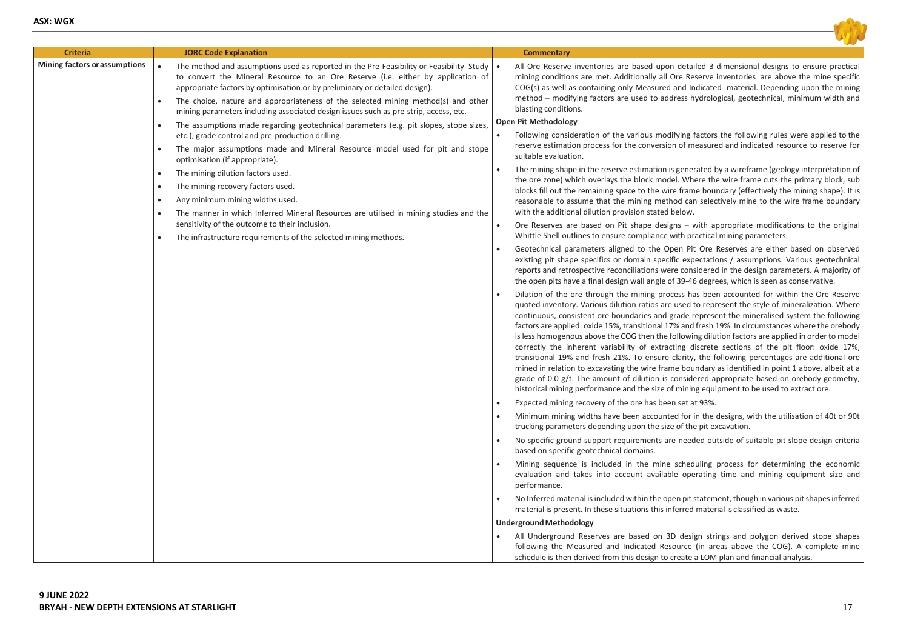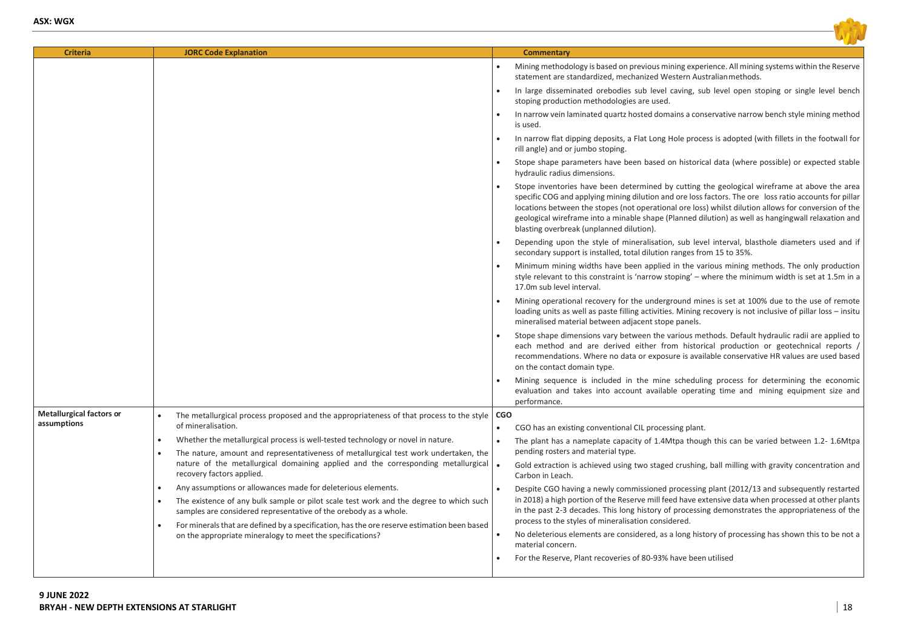

| <b>Criteria</b>                 | <b>JORC Code Explanation</b>                                                                                                                                                                                                            | Commentary                                                                                                                                                                                                                                                                                                                                                                                                                                                       |
|---------------------------------|-----------------------------------------------------------------------------------------------------------------------------------------------------------------------------------------------------------------------------------------|------------------------------------------------------------------------------------------------------------------------------------------------------------------------------------------------------------------------------------------------------------------------------------------------------------------------------------------------------------------------------------------------------------------------------------------------------------------|
|                                 |                                                                                                                                                                                                                                         | Mining methodology is based on previous mining experience. All mining systems within the Reserve<br>statement are standardized, mechanized Western Australian methods.                                                                                                                                                                                                                                                                                           |
|                                 |                                                                                                                                                                                                                                         | In large disseminated orebodies sub level caving, sub level open stoping or single level bench<br>stoping production methodologies are used.                                                                                                                                                                                                                                                                                                                     |
|                                 |                                                                                                                                                                                                                                         | In narrow vein laminated quartz hosted domains a conservative narrow bench style mining method<br>is used.                                                                                                                                                                                                                                                                                                                                                       |
|                                 |                                                                                                                                                                                                                                         | In narrow flat dipping deposits, a Flat Long Hole process is adopted (with fillets in the footwall for<br>rill angle) and or jumbo stoping.                                                                                                                                                                                                                                                                                                                      |
|                                 |                                                                                                                                                                                                                                         | Stope shape parameters have been based on historical data (where possible) or expected stable<br>hydraulic radius dimensions.                                                                                                                                                                                                                                                                                                                                    |
|                                 |                                                                                                                                                                                                                                         | Stope inventories have been determined by cutting the geological wireframe at above the area<br>specific COG and applying mining dilution and ore loss factors. The ore loss ratio accounts for pillar<br>locations between the stopes (not operational ore loss) whilst dilution allows for conversion of the<br>geological wireframe into a minable shape (Planned dilution) as well as hangingwall relaxation and<br>blasting overbreak (unplanned dilution). |
|                                 |                                                                                                                                                                                                                                         | Depending upon the style of mineralisation, sub level interval, blasthole diameters used and if<br>secondary support is installed, total dilution ranges from 15 to 35%.                                                                                                                                                                                                                                                                                         |
|                                 |                                                                                                                                                                                                                                         | Minimum mining widths have been applied in the various mining methods. The only production<br>style relevant to this constraint is 'narrow stoping' - where the minimum width is set at 1.5m in a<br>17.0m sub level interval.                                                                                                                                                                                                                                   |
|                                 |                                                                                                                                                                                                                                         | Mining operational recovery for the underground mines is set at 100% due to the use of remote<br>loading units as well as paste filling activities. Mining recovery is not inclusive of pillar loss - insitu<br>mineralised material between adjacent stope panels.                                                                                                                                                                                              |
|                                 |                                                                                                                                                                                                                                         | Stope shape dimensions vary between the various methods. Default hydraulic radii are applied to<br>each method and are derived either from historical production or geotechnical reports /<br>recommendations. Where no data or exposure is available conservative HR values are used based<br>on the contact domain type.                                                                                                                                       |
|                                 |                                                                                                                                                                                                                                         | Mining sequence is included in the mine scheduling process for determining the economic<br>evaluation and takes into account available operating time and mining equipment size and<br>performance.                                                                                                                                                                                                                                                              |
| <b>Metallurgical factors or</b> | The metallurgical process proposed and the appropriateness of that process to the style   CGO                                                                                                                                           |                                                                                                                                                                                                                                                                                                                                                                                                                                                                  |
| assumptions                     | of mineralisation.                                                                                                                                                                                                                      | CGO has an existing conventional CIL processing plant.                                                                                                                                                                                                                                                                                                                                                                                                           |
|                                 | Whether the metallurgical process is well-tested technology or novel in nature.<br>The nature, amount and representativeness of metallurgical test work undertaken, the                                                                 | The plant has a nameplate capacity of 1.4Mtpa though this can be varied between 1.2-1.6Mtpa<br>pending rosters and material type.                                                                                                                                                                                                                                                                                                                                |
|                                 | nature of the metallurgical domaining applied and the corresponding metallurgical<br>recovery factors applied.                                                                                                                          | Gold extraction is achieved using two staged crushing, ball milling with gravity concentration and<br>Carbon in Leach.                                                                                                                                                                                                                                                                                                                                           |
|                                 | Any assumptions or allowances made for deleterious elements.<br>$\bullet$<br>The existence of any bulk sample or pilot scale test work and the degree to which such<br>samples are considered representative of the orebody as a whole. | Despite CGO having a newly commissioned processing plant (2012/13 and subsequently restarted<br>in 2018) a high portion of the Reserve mill feed have extensive data when processed at other plants<br>in the past 2-3 decades. This long history of processing demonstrates the appropriateness of the                                                                                                                                                          |
|                                 | For minerals that are defined by a specification, has the ore reserve estimation been based<br>on the appropriate mineralogy to meet the specifications?                                                                                | process to the styles of mineralisation considered.<br>No deleterious elements are considered, as a long history of processing has shown this to be not a<br>material concern.                                                                                                                                                                                                                                                                                   |
|                                 |                                                                                                                                                                                                                                         | For the Reserve, Plant recoveries of 80-93% have been utilised                                                                                                                                                                                                                                                                                                                                                                                                   |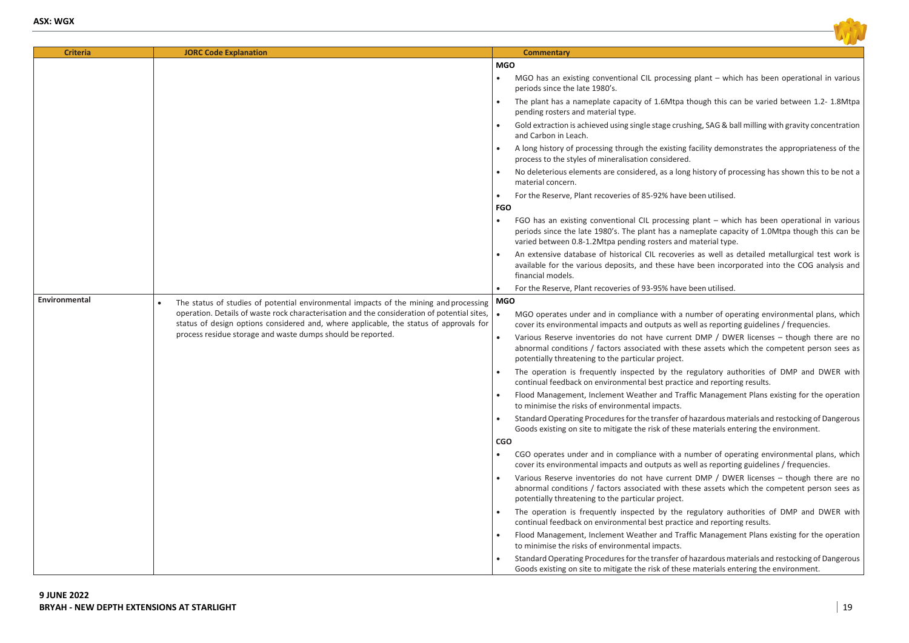

| <b>Criteria</b> | <b>JORC Code Explanation</b>                                                                                                                                                                                                                                                                                                                  | <b>Commentary</b>                                                                                                                                                                                                                                                 |  |
|-----------------|-----------------------------------------------------------------------------------------------------------------------------------------------------------------------------------------------------------------------------------------------------------------------------------------------------------------------------------------------|-------------------------------------------------------------------------------------------------------------------------------------------------------------------------------------------------------------------------------------------------------------------|--|
|                 |                                                                                                                                                                                                                                                                                                                                               | <b>MGO</b>                                                                                                                                                                                                                                                        |  |
|                 |                                                                                                                                                                                                                                                                                                                                               | MGO has an existing conventional CIL processing plant – which has been operational in various<br>periods since the late 1980's.                                                                                                                                   |  |
|                 |                                                                                                                                                                                                                                                                                                                                               | The plant has a nameplate capacity of 1.6Mtpa though this can be varied between 1.2-1.8Mtpa<br>pending rosters and material type.                                                                                                                                 |  |
|                 |                                                                                                                                                                                                                                                                                                                                               | Gold extraction is achieved using single stage crushing, SAG & ball milling with gravity concentration<br>and Carbon in Leach.                                                                                                                                    |  |
|                 |                                                                                                                                                                                                                                                                                                                                               | A long history of processing through the existing facility demonstrates the appropriateness of the<br>process to the styles of mineralisation considered.                                                                                                         |  |
|                 |                                                                                                                                                                                                                                                                                                                                               | No deleterious elements are considered, as a long history of processing has shown this to be not a<br>material concern.                                                                                                                                           |  |
|                 |                                                                                                                                                                                                                                                                                                                                               | For the Reserve, Plant recoveries of 85-92% have been utilised.                                                                                                                                                                                                   |  |
|                 |                                                                                                                                                                                                                                                                                                                                               | <b>FGO</b>                                                                                                                                                                                                                                                        |  |
|                 |                                                                                                                                                                                                                                                                                                                                               | FGO has an existing conventional CIL processing plant – which has been operational in various<br>periods since the late 1980's. The plant has a nameplate capacity of 1.0Mtpa though this can be<br>varied between 0.8-1.2Mtpa pending rosters and material type. |  |
|                 |                                                                                                                                                                                                                                                                                                                                               | An extensive database of historical CIL recoveries as well as detailed metallurgical test work is<br>available for the various deposits, and these have been incorporated into the COG analysis and<br>financial models.                                          |  |
|                 |                                                                                                                                                                                                                                                                                                                                               | For the Reserve, Plant recoveries of 93-95% have been utilised.                                                                                                                                                                                                   |  |
| Environmental   | The status of studies of potential environmental impacts of the mining and processing<br>operation. Details of waste rock characterisation and the consideration of potential sites,<br>status of design options considered and, where applicable, the status of approvals for<br>process residue storage and waste dumps should be reported. | <b>MGO</b>                                                                                                                                                                                                                                                        |  |
|                 |                                                                                                                                                                                                                                                                                                                                               | MGO operates under and in compliance with a number of operating environmental plans, which<br>cover its environmental impacts and outputs as well as reporting guidelines / frequencies.                                                                          |  |
|                 |                                                                                                                                                                                                                                                                                                                                               | Various Reserve inventories do not have current DMP / DWER licenses - though there are no<br>abnormal conditions / factors associated with these assets which the competent person sees as<br>potentially threatening to the particular project.                  |  |
|                 |                                                                                                                                                                                                                                                                                                                                               | The operation is frequently inspected by the regulatory authorities of DMP and DWER with<br>continual feedback on environmental best practice and reporting results.                                                                                              |  |
|                 |                                                                                                                                                                                                                                                                                                                                               | Flood Management, Inclement Weather and Traffic Management Plans existing for the operation<br>to minimise the risks of environmental impacts.                                                                                                                    |  |
|                 |                                                                                                                                                                                                                                                                                                                                               | Standard Operating Procedures for the transfer of hazardous materials and restocking of Dangerous<br>Goods existing on site to mitigate the risk of these materials entering the environment.                                                                     |  |
|                 |                                                                                                                                                                                                                                                                                                                                               | CGO                                                                                                                                                                                                                                                               |  |
|                 |                                                                                                                                                                                                                                                                                                                                               | CGO operates under and in compliance with a number of operating environmental plans, which<br>cover its environmental impacts and outputs as well as reporting guidelines / frequencies.                                                                          |  |
|                 |                                                                                                                                                                                                                                                                                                                                               | Various Reserve inventories do not have current DMP / DWER licenses - though there are no<br>abnormal conditions / factors associated with these assets which the competent person sees as<br>potentially threatening to the particular project.                  |  |
|                 |                                                                                                                                                                                                                                                                                                                                               | The operation is frequently inspected by the regulatory authorities of DMP and DWER with<br>continual feedback on environmental best practice and reporting results.                                                                                              |  |
|                 |                                                                                                                                                                                                                                                                                                                                               | Flood Management, Inclement Weather and Traffic Management Plans existing for the operation<br>to minimise the risks of environmental impacts.                                                                                                                    |  |
|                 |                                                                                                                                                                                                                                                                                                                                               | Standard Operating Procedures for the transfer of hazardous materials and restocking of Dangerous<br>Goods existing on site to mitigate the risk of these materials entering the environment.                                                                     |  |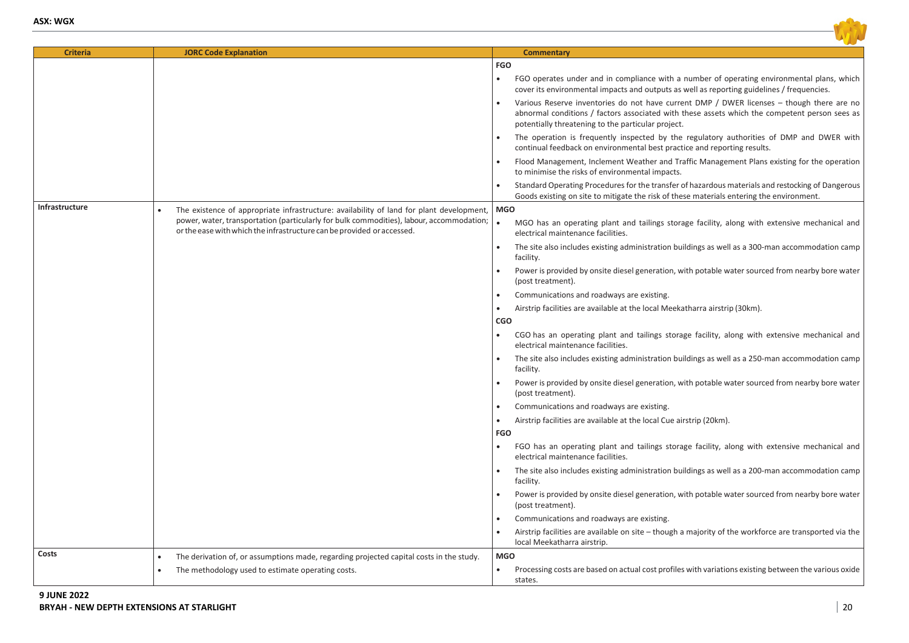

| <b>Criteria</b>       | <b>JORC Code Explanation</b>                                                                                                                                       | <b>Commentary</b>                                                                                                                                                                                                                                |
|-----------------------|--------------------------------------------------------------------------------------------------------------------------------------------------------------------|--------------------------------------------------------------------------------------------------------------------------------------------------------------------------------------------------------------------------------------------------|
|                       |                                                                                                                                                                    | <b>FGO</b>                                                                                                                                                                                                                                       |
|                       |                                                                                                                                                                    | FGO operates under and in compliance with a number of operating environmental plans, which<br>cover its environmental impacts and outputs as well as reporting guidelines / frequencies.                                                         |
|                       |                                                                                                                                                                    | Various Reserve inventories do not have current DMP / DWER licenses - though there are no<br>abnormal conditions / factors associated with these assets which the competent person sees as<br>potentially threatening to the particular project. |
|                       |                                                                                                                                                                    | The operation is frequently inspected by the regulatory authorities of DMP and DWER with<br>continual feedback on environmental best practice and reporting results.                                                                             |
|                       |                                                                                                                                                                    | Flood Management, Inclement Weather and Traffic Management Plans existing for the operation<br>to minimise the risks of environmental impacts.                                                                                                   |
|                       |                                                                                                                                                                    | Standard Operating Procedures for the transfer of hazardous materials and restocking of Dangerous<br>Goods existing on site to mitigate the risk of these materials entering the environment.                                                    |
| <b>Infrastructure</b> | The existence of appropriate infrastructure: availability of land for plant development,                                                                           | <b>MGO</b>                                                                                                                                                                                                                                       |
|                       | power, water, transportation (particularly for bulk commodities), labour, accommodation;<br>or the ease with which the infrastructure can be provided or accessed. | MGO has an operating plant and tailings storage facility, along with extensive mechanical and<br>electrical maintenance facilities.                                                                                                              |
|                       |                                                                                                                                                                    | The site also includes existing administration buildings as well as a 300-man accommodation camp<br>facility.                                                                                                                                    |
|                       |                                                                                                                                                                    | Power is provided by onsite diesel generation, with potable water sourced from nearby bore water<br>(post treatment).                                                                                                                            |
|                       |                                                                                                                                                                    | Communications and roadways are existing.                                                                                                                                                                                                        |
|                       |                                                                                                                                                                    | Airstrip facilities are available at the local Meekatharra airstrip (30km).                                                                                                                                                                      |
|                       |                                                                                                                                                                    | CGO                                                                                                                                                                                                                                              |
|                       |                                                                                                                                                                    | CGO has an operating plant and tailings storage facility, along with extensive mechanical and<br>electrical maintenance facilities.                                                                                                              |
|                       |                                                                                                                                                                    | The site also includes existing administration buildings as well as a 250-man accommodation camp<br>facility.                                                                                                                                    |
|                       |                                                                                                                                                                    | Power is provided by onsite diesel generation, with potable water sourced from nearby bore water<br>(post treatment).                                                                                                                            |
|                       |                                                                                                                                                                    | Communications and roadways are existing.                                                                                                                                                                                                        |
|                       |                                                                                                                                                                    | Airstrip facilities are available at the local Cue airstrip (20km).                                                                                                                                                                              |
|                       |                                                                                                                                                                    | <b>FGO</b>                                                                                                                                                                                                                                       |
|                       |                                                                                                                                                                    | FGO has an operating plant and tailings storage facility, along with extensive mechanical and<br>electrical maintenance facilities.                                                                                                              |
|                       |                                                                                                                                                                    | The site also includes existing administration buildings as well as a 200-man accommodation camp<br>facility.                                                                                                                                    |
|                       |                                                                                                                                                                    | Power is provided by onsite diesel generation, with potable water sourced from nearby bore water<br>(post treatment).                                                                                                                            |
|                       |                                                                                                                                                                    | Communications and roadways are existing.                                                                                                                                                                                                        |
|                       |                                                                                                                                                                    | Airstrip facilities are available on site - though a majority of the workforce are transported via the<br>local Meekatharra airstrip.                                                                                                            |
| Costs                 | The derivation of, or assumptions made, regarding projected capital costs in the study.                                                                            | <b>MGO</b>                                                                                                                                                                                                                                       |
|                       | The methodology used to estimate operating costs.                                                                                                                  | Processing costs are based on actual cost profiles with variations existing between the various oxide<br>$\bullet$<br>states.                                                                                                                    |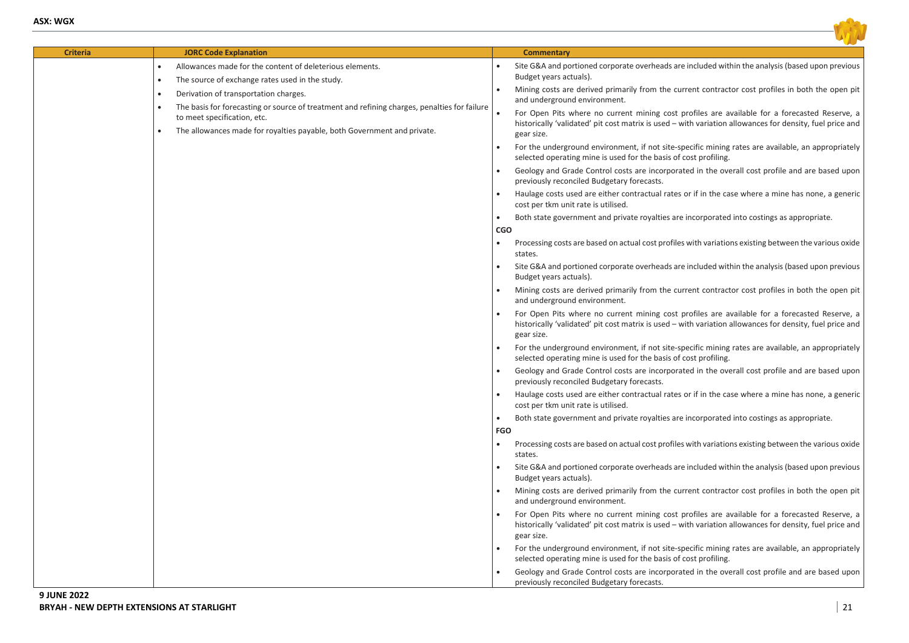

| <b>Criteria</b> | <b>JORC Code Explanation</b>                                                                                                                                                                           |            | <b>Commentary</b>                                                                                                                                                                                                       |
|-----------------|--------------------------------------------------------------------------------------------------------------------------------------------------------------------------------------------------------|------------|-------------------------------------------------------------------------------------------------------------------------------------------------------------------------------------------------------------------------|
|                 | Allowances made for the content of deleterious elements.                                                                                                                                               |            | Site G&A and portioned corporate overheads are included within the analysis (based upon previous                                                                                                                        |
|                 | The source of exchange rates used in the study.                                                                                                                                                        |            | Budget years actuals).                                                                                                                                                                                                  |
|                 | Derivation of transportation charges.                                                                                                                                                                  |            | Mining costs are derived primarily from the current contractor cost profiles in both the open pit<br>and underground environment.                                                                                       |
|                 | The basis for forecasting or source of treatment and refining charges, penalties for failure<br>to meet specification, etc.<br>The allowances made for royalties payable, both Government and private. |            | For Open Pits where no current mining cost profiles are available for a forecasted Reserve, a<br>historically 'validated' pit cost matrix is used - with variation allowances for density, fuel price and<br>gear size. |
|                 |                                                                                                                                                                                                        |            | For the underground environment, if not site-specific mining rates are available, an appropriately<br>selected operating mine is used for the basis of cost profiling.                                                  |
|                 |                                                                                                                                                                                                        |            | Geology and Grade Control costs are incorporated in the overall cost profile and are based upon<br>previously reconciled Budgetary forecasts.                                                                           |
|                 |                                                                                                                                                                                                        |            | Haulage costs used are either contractual rates or if in the case where a mine has none, a generic<br>cost per tkm unit rate is utilised.                                                                               |
|                 |                                                                                                                                                                                                        |            | Both state government and private royalties are incorporated into costings as appropriate.                                                                                                                              |
|                 |                                                                                                                                                                                                        | CGO        |                                                                                                                                                                                                                         |
|                 |                                                                                                                                                                                                        |            | Processing costs are based on actual cost profiles with variations existing between the various oxide<br>states.                                                                                                        |
|                 |                                                                                                                                                                                                        |            | Site G&A and portioned corporate overheads are included within the analysis (based upon previous<br>Budget years actuals).                                                                                              |
|                 |                                                                                                                                                                                                        |            | Mining costs are derived primarily from the current contractor cost profiles in both the open pit<br>and underground environment.                                                                                       |
|                 |                                                                                                                                                                                                        |            | For Open Pits where no current mining cost profiles are available for a forecasted Reserve, a<br>historically 'validated' pit cost matrix is used – with variation allowances for density, fuel price and<br>gear size. |
|                 |                                                                                                                                                                                                        |            | For the underground environment, if not site-specific mining rates are available, an appropriately<br>selected operating mine is used for the basis of cost profiling.                                                  |
|                 |                                                                                                                                                                                                        |            | Geology and Grade Control costs are incorporated in the overall cost profile and are based upon<br>previously reconciled Budgetary forecasts.                                                                           |
|                 |                                                                                                                                                                                                        |            | Haulage costs used are either contractual rates or if in the case where a mine has none, a generic<br>cost per tkm unit rate is utilised.                                                                               |
|                 |                                                                                                                                                                                                        |            | Both state government and private royalties are incorporated into costings as appropriate.                                                                                                                              |
|                 |                                                                                                                                                                                                        | <b>FGO</b> |                                                                                                                                                                                                                         |
|                 |                                                                                                                                                                                                        |            | Processing costs are based on actual cost profiles with variations existing between the various oxide<br>states.                                                                                                        |
|                 |                                                                                                                                                                                                        |            | Site G&A and portioned corporate overheads are included within the analysis (based upon previous<br>Budget years actuals).                                                                                              |
|                 |                                                                                                                                                                                                        |            | Mining costs are derived primarily from the current contractor cost profiles in both the open pit<br>and underground environment.                                                                                       |
|                 |                                                                                                                                                                                                        |            | For Open Pits where no current mining cost profiles are available for a forecasted Reserve, a<br>historically 'validated' pit cost matrix is used - with variation allowances for density, fuel price and<br>gear size. |
|                 |                                                                                                                                                                                                        |            | For the underground environment, if not site-specific mining rates are available, an appropriately<br>selected operating mine is used for the basis of cost profiling.                                                  |
|                 |                                                                                                                                                                                                        |            | Geology and Grade Control costs are incorporated in the overall cost profile and are based upon<br>previously reconciled Budgetary forecasts.                                                                           |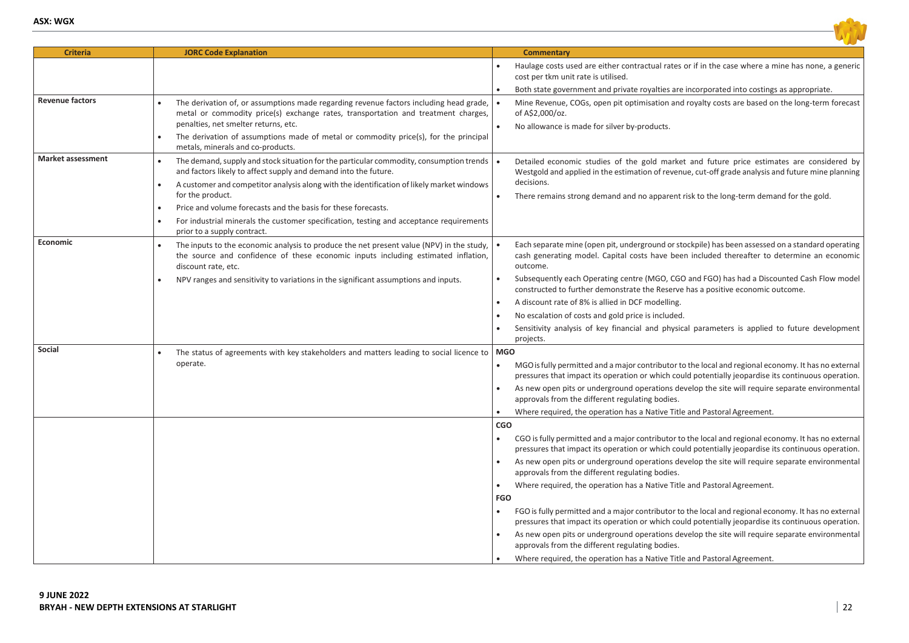

| <b>Criteria</b>          | <b>JORC Code Explanation</b>                                                                                                                                                                                                                                                                                                                                                                                                                                           | <b>Commentary</b>                                                                                                                                                                                                                                                                                                                                                                                                                                                                                                                                                                                                                                                                                                                                                                                                                                                                                                          |
|--------------------------|------------------------------------------------------------------------------------------------------------------------------------------------------------------------------------------------------------------------------------------------------------------------------------------------------------------------------------------------------------------------------------------------------------------------------------------------------------------------|----------------------------------------------------------------------------------------------------------------------------------------------------------------------------------------------------------------------------------------------------------------------------------------------------------------------------------------------------------------------------------------------------------------------------------------------------------------------------------------------------------------------------------------------------------------------------------------------------------------------------------------------------------------------------------------------------------------------------------------------------------------------------------------------------------------------------------------------------------------------------------------------------------------------------|
|                          |                                                                                                                                                                                                                                                                                                                                                                                                                                                                        | Haulage costs used are either contractual rates or if in the case where a mine has none, a generic<br>cost per tkm unit rate is utilised.<br>Both state government and private royalties are incorporated into costings as appropriate.                                                                                                                                                                                                                                                                                                                                                                                                                                                                                                                                                                                                                                                                                    |
| <b>Revenue factors</b>   | The derivation of, or assumptions made regarding revenue factors including head grade,<br>metal or commodity price(s) exchange rates, transportation and treatment charges,<br>penalties, net smelter returns, etc.<br>The derivation of assumptions made of metal or commodity price(s), for the principal<br>metals, minerals and co-products.                                                                                                                       | Mine Revenue, COGs, open pit optimisation and royalty costs are based on the long-term forecast<br>of A\$2,000/oz.<br>No allowance is made for silver by-products.                                                                                                                                                                                                                                                                                                                                                                                                                                                                                                                                                                                                                                                                                                                                                         |
| <b>Market assessment</b> | The demand, supply and stock situation for the particular commodity, consumption trends<br>and factors likely to affect supply and demand into the future.<br>A customer and competitor analysis along with the identification of likely market windows<br>for the product.<br>Price and volume forecasts and the basis for these forecasts.<br>For industrial minerals the customer specification, testing and acceptance requirements<br>prior to a supply contract. | Detailed economic studies of the gold market and future price estimates are considered by<br>Westgold and applied in the estimation of revenue, cut-off grade analysis and future mine planning<br>decisions.<br>There remains strong demand and no apparent risk to the long-term demand for the gold.                                                                                                                                                                                                                                                                                                                                                                                                                                                                                                                                                                                                                    |
| <b>Economic</b>          | The inputs to the economic analysis to produce the net present value (NPV) in the study,<br>the source and confidence of these economic inputs including estimated inflation,<br>discount rate, etc.<br>NPV ranges and sensitivity to variations in the significant assumptions and inputs.                                                                                                                                                                            | Each separate mine (open pit, underground or stockpile) has been assessed on a standard operating<br>cash generating model. Capital costs have been included thereafter to determine an economic<br>outcome.<br>Subsequently each Operating centre (MGO, CGO and FGO) has had a Discounted Cash Flow model<br>constructed to further demonstrate the Reserve has a positive economic outcome.<br>A discount rate of 8% is allied in DCF modelling.<br>No escalation of costs and gold price is included.<br>Sensitivity analysis of key financial and physical parameters is applied to future development<br>projects.                                                                                                                                                                                                                                                                                                    |
| <b>Social</b>            | The status of agreements with key stakeholders and matters leading to social licence to<br>operate.                                                                                                                                                                                                                                                                                                                                                                    | <b>MGO</b><br>MGO is fully permitted and a major contributor to the local and regional economy. It has no external<br>pressures that impact its operation or which could potentially jeopardise its continuous operation.<br>As new open pits or underground operations develop the site will require separate environmental<br>approvals from the different regulating bodies.<br>Where required, the operation has a Native Title and Pastoral Agreement.                                                                                                                                                                                                                                                                                                                                                                                                                                                                |
|                          |                                                                                                                                                                                                                                                                                                                                                                                                                                                                        | <b>CGO</b><br>CGO is fully permitted and a major contributor to the local and regional economy. It has no external<br>pressures that impact its operation or which could potentially jeopardise its continuous operation.<br>As new open pits or underground operations develop the site will require separate environmental<br>approvals from the different regulating bodies.<br>Where required, the operation has a Native Title and Pastoral Agreement.<br><b>FGO</b><br>FGO is fully permitted and a major contributor to the local and regional economy. It has no external<br>pressures that impact its operation or which could potentially jeopardise its continuous operation.<br>As new open pits or underground operations develop the site will require separate environmental<br>approvals from the different regulating bodies.<br>Where required, the operation has a Native Title and Pastoral Agreement. |